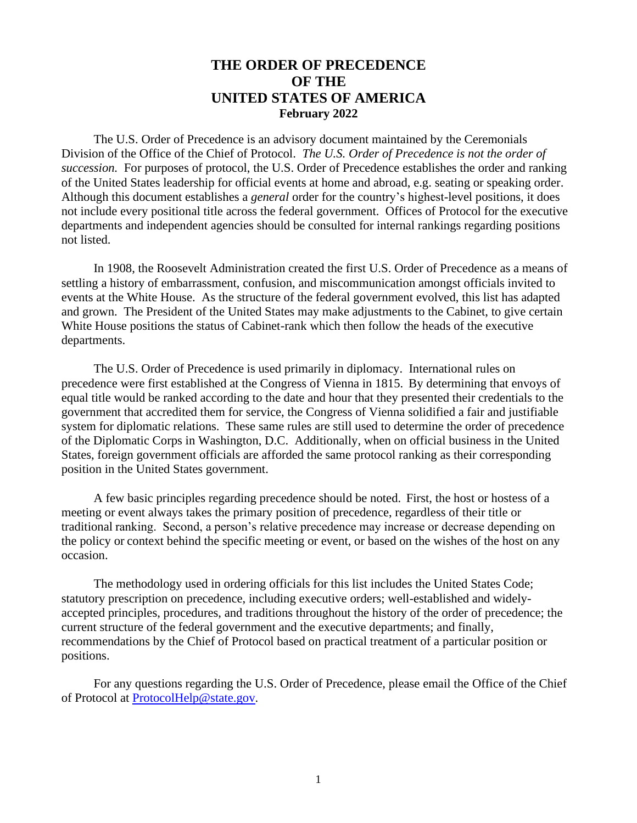# **THE ORDER OF PRECEDENCE OF THE UNITED STATES OF AMERICA February 2022**

The U.S. Order of Precedence is an advisory document maintained by the Ceremonials Division of the Office of the Chief of Protocol. *The U.S. Order of Precedence is not the order of succession.* For purposes of protocol, the U.S. Order of Precedence establishes the order and ranking of the United States leadership for official events at home and abroad, e.g. seating or speaking order. Although this document establishes a *general* order for the country's highest-level positions, it does not include every positional title across the federal government. Offices of Protocol for the executive departments and independent agencies should be consulted for internal rankings regarding positions not listed.

In 1908, the Roosevelt Administration created the first U.S. Order of Precedence as a means of settling a history of embarrassment, confusion, and miscommunication amongst officials invited to events at the White House. As the structure of the federal government evolved, this list has adapted and grown. The President of the United States may make adjustments to the Cabinet, to give certain White House positions the status of Cabinet-rank which then follow the heads of the executive departments.

The U.S. Order of Precedence is used primarily in diplomacy. International rules on precedence were first established at the Congress of Vienna in 1815. By determining that envoys of equal title would be ranked according to the date and hour that they presented their credentials to the government that accredited them for service, the Congress of Vienna solidified a fair and justifiable system for diplomatic relations. These same rules are still used to determine the order of precedence of the Diplomatic Corps in Washington, D.C. Additionally, when on official business in the United States, foreign government officials are afforded the same protocol ranking as their corresponding position in the United States government.

A few basic principles regarding precedence should be noted. First, the host or hostess of a meeting or event always takes the primary position of precedence, regardless of their title or traditional ranking. Second, a person's relative precedence may increase or decrease depending on the policy or context behind the specific meeting or event, or based on the wishes of the host on any occasion.

The methodology used in ordering officials for this list includes the United States Code; statutory prescription on precedence, including executive orders; well-established and widelyaccepted principles, procedures, and traditions throughout the history of the order of precedence; the current structure of the federal government and the executive departments; and finally, recommendations by the Chief of Protocol based on practical treatment of a particular position or positions.

For any questions regarding the U.S. Order of Precedence, please email the Office of the Chief of Protocol at [ProtocolHelp@state.gov.](mailto:ProtocolHelp@state.gov)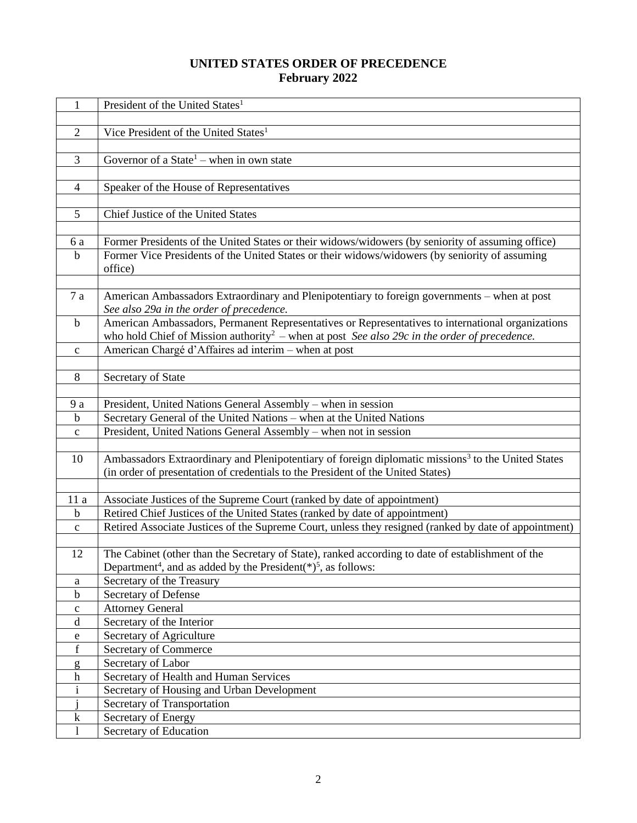## **UNITED STATES ORDER OF PRECEDENCE February 2022**

| 1                | President of the United States <sup>1</sup>                                                                                                                                                                   |
|------------------|---------------------------------------------------------------------------------------------------------------------------------------------------------------------------------------------------------------|
|                  |                                                                                                                                                                                                               |
| $\overline{2}$   | Vice President of the United States <sup>1</sup>                                                                                                                                                              |
| 3                | Governor of a State <sup>1</sup> – when in own state                                                                                                                                                          |
|                  |                                                                                                                                                                                                               |
| $\overline{4}$   | Speaker of the House of Representatives                                                                                                                                                                       |
|                  |                                                                                                                                                                                                               |
| 5                | Chief Justice of the United States                                                                                                                                                                            |
|                  |                                                                                                                                                                                                               |
| 6a               | Former Presidents of the United States or their widows/widowers (by seniority of assuming office)                                                                                                             |
| $\mathbf b$      | Former Vice Presidents of the United States or their widows/widowers (by seniority of assuming<br>office)                                                                                                     |
|                  |                                                                                                                                                                                                               |
| 7 a              | American Ambassadors Extraordinary and Plenipotentiary to foreign governments - when at post<br>See also 29a in the order of precedence.                                                                      |
| $\mathbf b$      | American Ambassadors, Permanent Representatives or Representatives to international organizations<br>who hold Chief of Mission authority <sup>2</sup> – when at post See also 29c in the order of precedence. |
| $\mathbf{c}$     | American Chargé d'Affaires ad interim - when at post                                                                                                                                                          |
|                  |                                                                                                                                                                                                               |
| 8                | Secretary of State                                                                                                                                                                                            |
|                  |                                                                                                                                                                                                               |
| 9 a              | President, United Nations General Assembly – when in session                                                                                                                                                  |
| $\mathbf b$      | Secretary General of the United Nations - when at the United Nations                                                                                                                                          |
| $\mathbf c$      | President, United Nations General Assembly - when not in session                                                                                                                                              |
| 10               | Ambassadors Extraordinary and Plenipotentiary of foreign diplomatic missions <sup>3</sup> to the United States<br>(in order of presentation of credentials to the President of the United States)             |
|                  |                                                                                                                                                                                                               |
| 11 a             | Associate Justices of the Supreme Court (ranked by date of appointment)                                                                                                                                       |
| $\mathbf b$      | Retired Chief Justices of the United States (ranked by date of appointment)                                                                                                                                   |
| $\mathbf{C}$     | Retired Associate Justices of the Supreme Court, unless they resigned (ranked by date of appointment)                                                                                                         |
| 12               | The Cabinet (other than the Secretary of State), ranked according to date of establishment of the<br>Department <sup>4</sup> , and as added by the President( $*$ ) <sup>5</sup> , as follows:                |
| a                | Secretary of the Treasury                                                                                                                                                                                     |
| $\mathbf b$      | Secretary of Defense                                                                                                                                                                                          |
| $\mathbf{C}$     | <b>Attorney General</b>                                                                                                                                                                                       |
| d                | Secretary of the Interior                                                                                                                                                                                     |
| e                | Secretary of Agriculture                                                                                                                                                                                      |
| f                | Secretary of Commerce                                                                                                                                                                                         |
| g                | Secretary of Labor                                                                                                                                                                                            |
| $\boldsymbol{h}$ | Secretary of Health and Human Services                                                                                                                                                                        |
| $\mathbf{i}$     | Secretary of Housing and Urban Development                                                                                                                                                                    |
|                  | Secretary of Transportation                                                                                                                                                                                   |
| $\bf k$          | Secretary of Energy                                                                                                                                                                                           |
| 1                | Secretary of Education                                                                                                                                                                                        |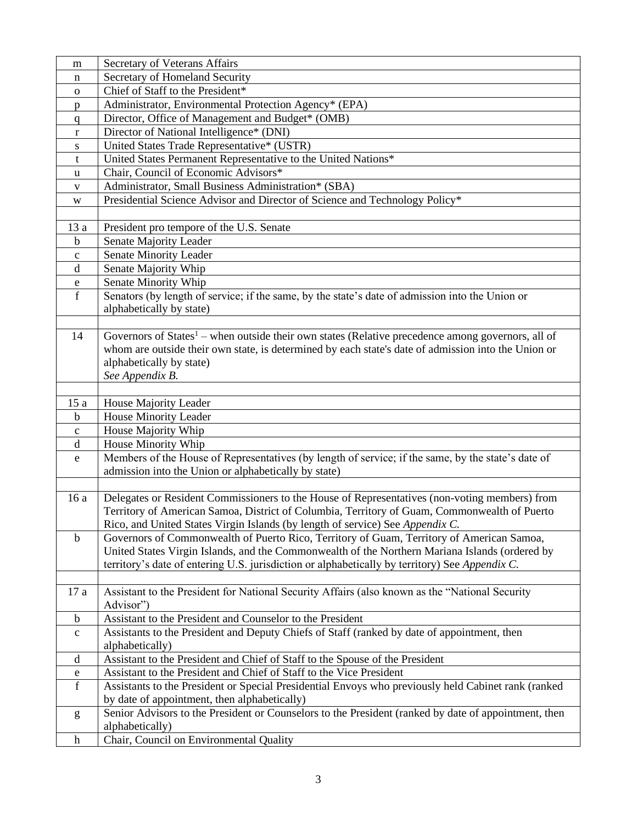| m              | Secretary of Veterans Affairs                                                                                 |  |  |  |  |  |  |  |
|----------------|---------------------------------------------------------------------------------------------------------------|--|--|--|--|--|--|--|
| n              | Secretary of Homeland Security                                                                                |  |  |  |  |  |  |  |
| $\mathbf{o}$   | Chief of Staff to the President*                                                                              |  |  |  |  |  |  |  |
| p              | Administrator, Environmental Protection Agency* (EPA)                                                         |  |  |  |  |  |  |  |
| $\mathbf q$    | Director, Office of Management and Budget* (OMB)                                                              |  |  |  |  |  |  |  |
| r              | Director of National Intelligence* (DNI)                                                                      |  |  |  |  |  |  |  |
| ${\bf S}$      | United States Trade Representative* (USTR)                                                                    |  |  |  |  |  |  |  |
| t              | United States Permanent Representative to the United Nations*                                                 |  |  |  |  |  |  |  |
| u              | Chair, Council of Economic Advisors*                                                                          |  |  |  |  |  |  |  |
| V              | Administrator, Small Business Administration* (SBA)                                                           |  |  |  |  |  |  |  |
| W              | Presidential Science Advisor and Director of Science and Technology Policy*                                   |  |  |  |  |  |  |  |
|                |                                                                                                               |  |  |  |  |  |  |  |
| 13a            | President pro tempore of the U.S. Senate                                                                      |  |  |  |  |  |  |  |
| $\mathbf b$    | Senate Majority Leader                                                                                        |  |  |  |  |  |  |  |
| $\mathbf c$    | Senate Minority Leader                                                                                        |  |  |  |  |  |  |  |
| d              | Senate Majority Whip                                                                                          |  |  |  |  |  |  |  |
| e              | Senate Minority Whip                                                                                          |  |  |  |  |  |  |  |
| $\overline{f}$ | Senators (by length of service; if the same, by the state's date of admission into the Union or               |  |  |  |  |  |  |  |
|                | alphabetically by state)                                                                                      |  |  |  |  |  |  |  |
|                |                                                                                                               |  |  |  |  |  |  |  |
| 14             | Governors of States <sup>1</sup> – when outside their own states (Relative precedence among governors, all of |  |  |  |  |  |  |  |
|                | whom are outside their own state, is determined by each state's date of admission into the Union or           |  |  |  |  |  |  |  |
|                | alphabetically by state)                                                                                      |  |  |  |  |  |  |  |
|                | See Appendix B.                                                                                               |  |  |  |  |  |  |  |
|                |                                                                                                               |  |  |  |  |  |  |  |
| 15a            | House Majority Leader                                                                                         |  |  |  |  |  |  |  |
| b              | House Minority Leader                                                                                         |  |  |  |  |  |  |  |
| $\mathbf{C}$   | House Majority Whip                                                                                           |  |  |  |  |  |  |  |
| d              | House Minority Whip                                                                                           |  |  |  |  |  |  |  |
| ${\bf e}$      | Members of the House of Representatives (by length of service; if the same, by the state's date of            |  |  |  |  |  |  |  |
|                | admission into the Union or alphabetically by state)                                                          |  |  |  |  |  |  |  |
|                |                                                                                                               |  |  |  |  |  |  |  |
| 16 a           | Delegates or Resident Commissioners to the House of Representatives (non-voting members) from                 |  |  |  |  |  |  |  |
|                | Territory of American Samoa, District of Columbia, Territory of Guam, Commonwealth of Puerto                  |  |  |  |  |  |  |  |
|                | Rico, and United States Virgin Islands (by length of service) See Appendix C.                                 |  |  |  |  |  |  |  |
| $\mathbf b$    | Governors of Commonwealth of Puerto Rico, Territory of Guam, Territory of American Samoa,                     |  |  |  |  |  |  |  |
|                | United States Virgin Islands, and the Commonwealth of the Northern Mariana Islands (ordered by                |  |  |  |  |  |  |  |
|                | territory's date of entering U.S. jurisdiction or alphabetically by territory) See Appendix C.                |  |  |  |  |  |  |  |
|                |                                                                                                               |  |  |  |  |  |  |  |
| 17 a           | Assistant to the President for National Security Affairs (also known as the "National Security                |  |  |  |  |  |  |  |
|                | Advisor")                                                                                                     |  |  |  |  |  |  |  |
| $\mathbf b$    | Assistant to the President and Counselor to the President                                                     |  |  |  |  |  |  |  |
| $\mathbf c$    | Assistants to the President and Deputy Chiefs of Staff (ranked by date of appointment, then                   |  |  |  |  |  |  |  |
|                | alphabetically)                                                                                               |  |  |  |  |  |  |  |
| d              | Assistant to the President and Chief of Staff to the Spouse of the President                                  |  |  |  |  |  |  |  |
| e              | Assistant to the President and Chief of Staff to the Vice President                                           |  |  |  |  |  |  |  |
| $\mathbf f$    | Assistants to the President or Special Presidential Envoys who previously held Cabinet rank (ranked           |  |  |  |  |  |  |  |
|                | by date of appointment, then alphabetically)                                                                  |  |  |  |  |  |  |  |
| g              | Senior Advisors to the President or Counselors to the President (ranked by date of appointment, then          |  |  |  |  |  |  |  |
|                | alphabetically)                                                                                               |  |  |  |  |  |  |  |
| $\mathbf h$    | Chair, Council on Environmental Quality                                                                       |  |  |  |  |  |  |  |
|                |                                                                                                               |  |  |  |  |  |  |  |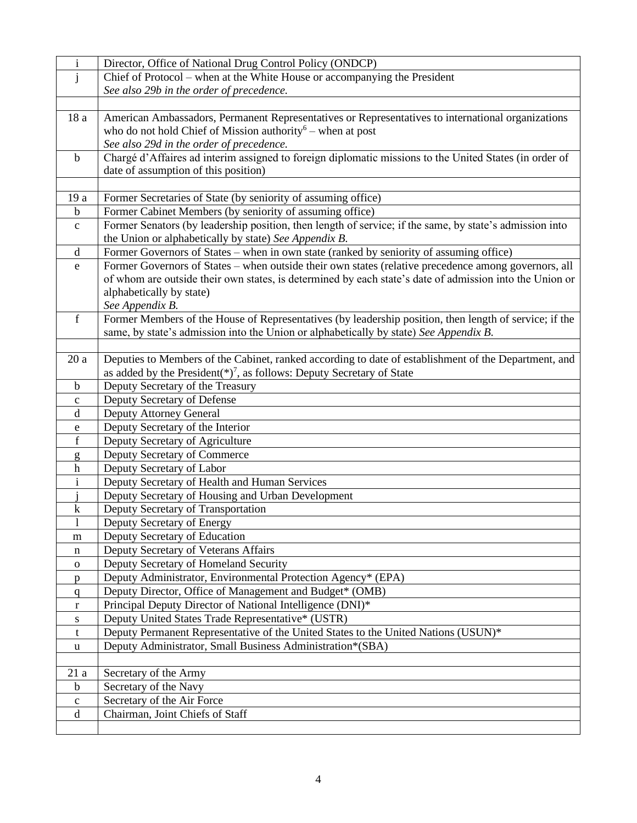| $\mathbf{i}$ | Director, Office of National Drug Control Policy (ONDCP)                                                |
|--------------|---------------------------------------------------------------------------------------------------------|
| j            | Chief of Protocol – when at the White House or accompanying the President                               |
|              | See also 29b in the order of precedence.                                                                |
|              |                                                                                                         |
| 18 a         | American Ambassadors, Permanent Representatives or Representatives to international organizations       |
|              | who do not hold Chief of Mission authority <sup>6</sup> – when at post                                  |
|              | See also 29d in the order of precedence.                                                                |
| $\mathbf b$  | Chargé d'Affaires ad interim assigned to foreign diplomatic missions to the United States (in order of  |
|              | date of assumption of this position)                                                                    |
|              |                                                                                                         |
| 19 a         | Former Secretaries of State (by seniority of assuming office)                                           |
| $\mathbf b$  | Former Cabinet Members (by seniority of assuming office)                                                |
| $\mathbf c$  | Former Senators (by leadership position, then length of service; if the same, by state's admission into |
|              | the Union or alphabetically by state) See Appendix B.                                                   |
| $\mathbf d$  | Former Governors of States - when in own state (ranked by seniority of assuming office)                 |
| e            | Former Governors of States - when outside their own states (relative precedence among governors, all    |
|              | of whom are outside their own states, is determined by each state's date of admission into the Union or |
|              | alphabetically by state)                                                                                |
| $\mathbf f$  | See Appendix B.                                                                                         |
|              | Former Members of the House of Representatives (by leadership position, then length of service; if the  |
|              | same, by state's admission into the Union or alphabetically by state) See Appendix B.                   |
| 20a          | Deputies to Members of the Cabinet, ranked according to date of establishment of the Department, and    |
|              | as added by the President( $*)^7$ , as follows: Deputy Secretary of State                               |
| $\mathbf b$  | Deputy Secretary of the Treasury                                                                        |
| $\mathbf c$  | Deputy Secretary of Defense                                                                             |
| d            | Deputy Attorney General                                                                                 |
| e            | Deputy Secretary of the Interior                                                                        |
| $\mathbf f$  | Deputy Secretary of Agriculture                                                                         |
| g            | Deputy Secretary of Commerce                                                                            |
| h            | Deputy Secretary of Labor                                                                               |
| $\mathbf i$  | Deputy Secretary of Health and Human Services                                                           |
|              | Deputy Secretary of Housing and Urban Development                                                       |
| k            | Deputy Secretary of Transportation                                                                      |
| $\mathbf{l}$ | Deputy Secretary of Energy                                                                              |
| m            | Deputy Secretary of Education                                                                           |
| n            | Deputy Secretary of Veterans Affairs                                                                    |
| $\mathbf{O}$ | Deputy Secretary of Homeland Security                                                                   |
| p            | Deputy Administrator, Environmental Protection Agency* (EPA)                                            |
| q            | Deputy Director, Office of Management and Budget* (OMB)                                                 |
| r            | Principal Deputy Director of National Intelligence (DNI)*                                               |
| ${\bf S}$    | Deputy United States Trade Representative* (USTR)                                                       |
| t            | Deputy Permanent Representative of the United States to the United Nations (USUN)*                      |
| u            | Deputy Administrator, Small Business Administration*(SBA)                                               |
|              |                                                                                                         |
| 21a          | Secretary of the Army                                                                                   |
| $\mathbf b$  | Secretary of the Navy                                                                                   |
| $\mathbf c$  | Secretary of the Air Force                                                                              |
| $\mathbf d$  | Chairman, Joint Chiefs of Staff                                                                         |
|              |                                                                                                         |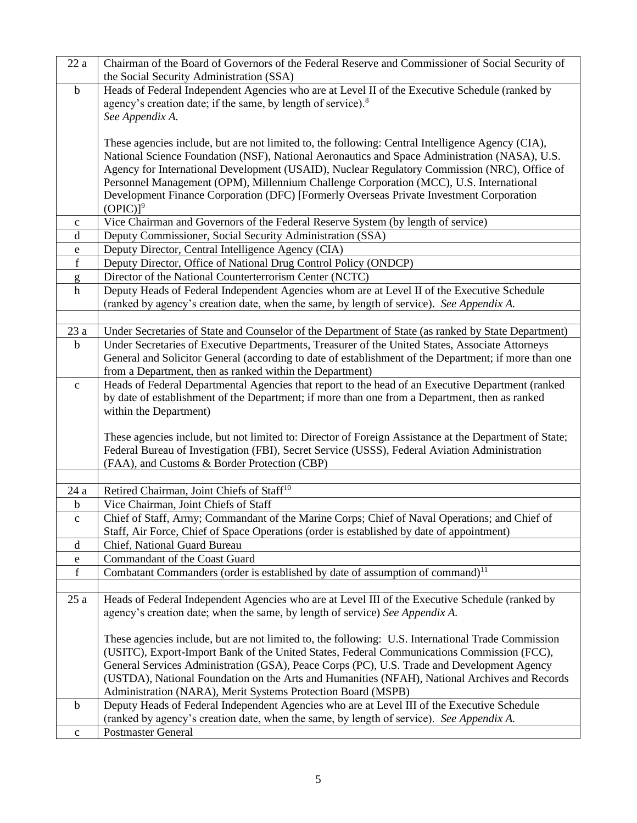| 22a          | Chairman of the Board of Governors of the Federal Reserve and Commissioner of Social Security of       |
|--------------|--------------------------------------------------------------------------------------------------------|
|              | the Social Security Administration (SSA)                                                               |
| $\mathbf b$  | Heads of Federal Independent Agencies who are at Level II of the Executive Schedule (ranked by         |
|              | agency's creation date; if the same, by length of service). <sup>8</sup>                               |
|              | See Appendix A.                                                                                        |
|              |                                                                                                        |
|              | These agencies include, but are not limited to, the following: Central Intelligence Agency (CIA),      |
|              | National Science Foundation (NSF), National Aeronautics and Space Administration (NASA), U.S.          |
|              | Agency for International Development (USAID), Nuclear Regulatory Commission (NRC), Office of           |
|              | Personnel Management (OPM), Millennium Challenge Corporation (MCC), U.S. International                 |
|              | Development Finance Corporation (DFC) [Formerly Overseas Private Investment Corporation                |
|              | $(OPIC)]^9$                                                                                            |
| $\mathbf c$  | Vice Chairman and Governors of the Federal Reserve System (by length of service)                       |
| d            | Deputy Commissioner, Social Security Administration (SSA)                                              |
| e            | Deputy Director, Central Intelligence Agency (CIA)                                                     |
| $\mathbf f$  | Deputy Director, Office of National Drug Control Policy (ONDCP)                                        |
| g            | Director of the National Counterterrorism Center (NCTC)                                                |
| h            | Deputy Heads of Federal Independent Agencies whom are at Level II of the Executive Schedule            |
|              | (ranked by agency's creation date, when the same, by length of service). See Appendix A.               |
|              |                                                                                                        |
| 23a          | Under Secretaries of State and Counselor of the Department of State (as ranked by State Department)    |
| $\mathbf b$  | Under Secretaries of Executive Departments, Treasurer of the United States, Associate Attorneys        |
|              | General and Solicitor General (according to date of establishment of the Department; if more than one  |
|              | from a Department, then as ranked within the Department)                                               |
| $\mathbf c$  | Heads of Federal Departmental Agencies that report to the head of an Executive Department (ranked      |
|              | by date of establishment of the Department; if more than one from a Department, then as ranked         |
|              | within the Department)                                                                                 |
|              |                                                                                                        |
|              | These agencies include, but not limited to: Director of Foreign Assistance at the Department of State; |
|              | Federal Bureau of Investigation (FBI), Secret Service (USSS), Federal Aviation Administration          |
|              | (FAA), and Customs & Border Protection (CBP)                                                           |
|              |                                                                                                        |
| 24 a         | Retired Chairman, Joint Chiefs of Staff <sup>10</sup>                                                  |
| b            | Vice Chairman, Joint Chiefs of Staff                                                                   |
| $\mathbf{C}$ | Chief of Staff, Army; Commandant of the Marine Corps; Chief of Naval Operations; and Chief of          |
|              | Staff, Air Force, Chief of Space Operations (order is established by date of appointment)              |
| d            | Chief, National Guard Bureau                                                                           |
| e            | Commandant of the Coast Guard                                                                          |
| $\mathbf f$  | Combatant Commanders (order is established by date of assumption of command) <sup>11</sup>             |
|              |                                                                                                        |
| 25a          | Heads of Federal Independent Agencies who are at Level III of the Executive Schedule (ranked by        |
|              | agency's creation date; when the same, by length of service) See Appendix A.                           |
|              |                                                                                                        |
|              | These agencies include, but are not limited to, the following: U.S. International Trade Commission     |
|              | (USITC), Export-Import Bank of the United States, Federal Communications Commission (FCC),             |
|              | General Services Administration (GSA), Peace Corps (PC), U.S. Trade and Development Agency             |
|              | (USTDA), National Foundation on the Arts and Humanities (NFAH), National Archives and Records          |
|              | Administration (NARA), Merit Systems Protection Board (MSPB)                                           |
| $\mathbf b$  | Deputy Heads of Federal Independent Agencies who are at Level III of the Executive Schedule            |
|              | (ranked by agency's creation date, when the same, by length of service). See Appendix A.               |
| $\mathbf c$  | <b>Postmaster General</b>                                                                              |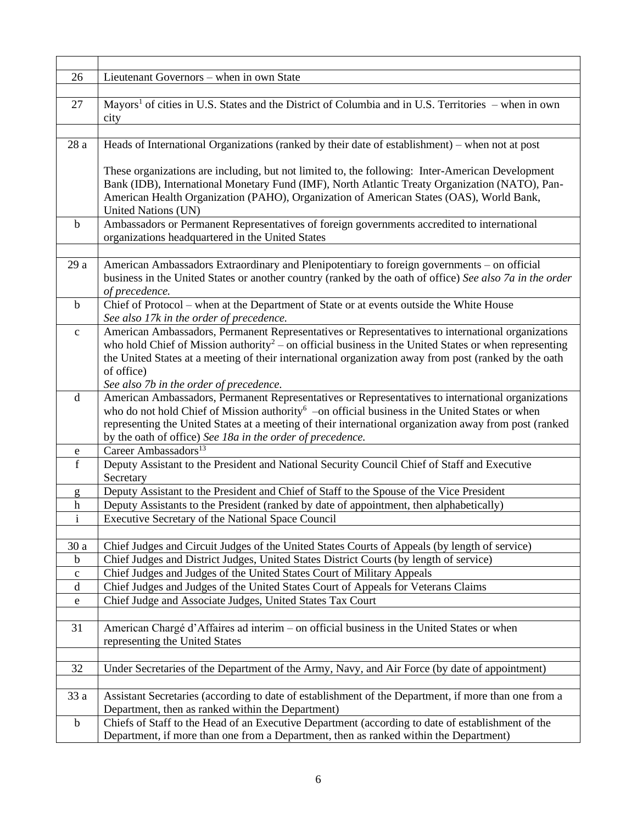| 26               | Lieutenant Governors - when in own State                                                                                                                                                |
|------------------|-----------------------------------------------------------------------------------------------------------------------------------------------------------------------------------------|
|                  |                                                                                                                                                                                         |
| 27               | Mayors <sup>1</sup> of cities in U.S. States and the District of Columbia and in U.S. Territories – when in own                                                                         |
|                  | city                                                                                                                                                                                    |
|                  |                                                                                                                                                                                         |
| 28a              | Heads of International Organizations (ranked by their date of establishment) – when not at post                                                                                         |
|                  |                                                                                                                                                                                         |
|                  | These organizations are including, but not limited to, the following: Inter-American Development                                                                                        |
|                  | Bank (IDB), International Monetary Fund (IMF), North Atlantic Treaty Organization (NATO), Pan-                                                                                          |
|                  | American Health Organization (PAHO), Organization of American States (OAS), World Bank,                                                                                                 |
| $\mathbf b$      | United Nations (UN)<br>Ambassadors or Permanent Representatives of foreign governments accredited to international                                                                      |
|                  | organizations headquartered in the United States                                                                                                                                        |
|                  |                                                                                                                                                                                         |
| 29a              | American Ambassadors Extraordinary and Plenipotentiary to foreign governments - on official                                                                                             |
|                  | business in the United States or another country (ranked by the oath of office) See also 7a in the order                                                                                |
|                  | of precedence.                                                                                                                                                                          |
| $\mathbf b$      | Chief of Protocol - when at the Department of State or at events outside the White House                                                                                                |
|                  | See also 17k in the order of precedence.                                                                                                                                                |
| $\mathbf c$      | American Ambassadors, Permanent Representatives or Representatives to international organizations                                                                                       |
|                  | who hold Chief of Mission authority <sup>2</sup> – on official business in the United States or when representing                                                                       |
|                  | the United States at a meeting of their international organization away from post (ranked by the oath                                                                                   |
|                  | of office)                                                                                                                                                                              |
|                  | See also 7b in the order of precedence.                                                                                                                                                 |
| d                | American Ambassadors, Permanent Representatives or Representatives to international organizations                                                                                       |
|                  | who do not hold Chief of Mission authority <sup>6</sup> -on official business in the United States or when                                                                              |
|                  | representing the United States at a meeting of their international organization away from post (ranked                                                                                  |
|                  | by the oath of office) See 18a in the order of precedence.                                                                                                                              |
| e                | Career Ambassadors <sup>13</sup>                                                                                                                                                        |
| f                | Deputy Assistant to the President and National Security Council Chief of Staff and Executive                                                                                            |
|                  | Secretary                                                                                                                                                                               |
| g                | Deputy Assistant to the President and Chief of Staff to the Spouse of the Vice President                                                                                                |
| $\boldsymbol{h}$ | Deputy Assistants to the President (ranked by date of appointment, then alphabetically)                                                                                                 |
| $\mathbf{i}$     | Executive Secretary of the National Space Council                                                                                                                                       |
| 30 a             |                                                                                                                                                                                         |
| $\mathbf b$      | Chief Judges and Circuit Judges of the United States Courts of Appeals (by length of service)<br>Chief Judges and District Judges, United States District Courts (by length of service) |
| $\mathbf{C}$     | Chief Judges and Judges of the United States Court of Military Appeals                                                                                                                  |
| $\mathbf d$      | Chief Judges and Judges of the United States Court of Appeals for Veterans Claims                                                                                                       |
| ${\bf e}$        | Chief Judge and Associate Judges, United States Tax Court                                                                                                                               |
|                  |                                                                                                                                                                                         |
| 31               | American Chargé d'Affaires ad interim - on official business in the United States or when                                                                                               |
|                  | representing the United States                                                                                                                                                          |
|                  |                                                                                                                                                                                         |
| 32               | Under Secretaries of the Department of the Army, Navy, and Air Force (by date of appointment)                                                                                           |
|                  |                                                                                                                                                                                         |
| 33 a             | Assistant Secretaries (according to date of establishment of the Department, if more than one from a                                                                                    |
|                  | Department, then as ranked within the Department)                                                                                                                                       |
| $\mathbf b$      | Chiefs of Staff to the Head of an Executive Department (according to date of establishment of the                                                                                       |
|                  | Department, if more than one from a Department, then as ranked within the Department)                                                                                                   |
|                  |                                                                                                                                                                                         |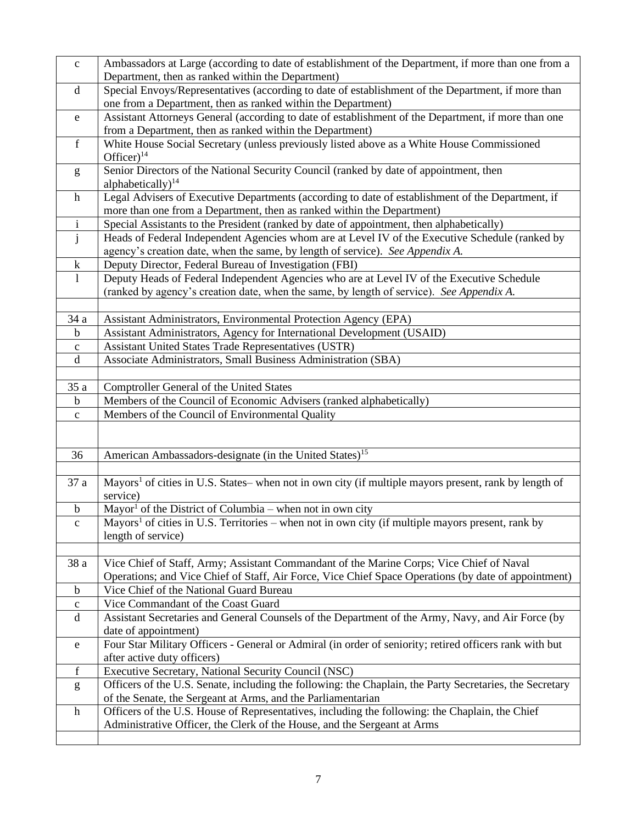| $\mathbf{C}$ | Ambassadors at Large (according to date of establishment of the Department, if more than one from a<br>Department, then as ranked within the Department) |
|--------------|----------------------------------------------------------------------------------------------------------------------------------------------------------|
| d            | Special Envoys/Representatives (according to date of establishment of the Department, if more than                                                       |
|              | one from a Department, then as ranked within the Department)                                                                                             |
| e            | Assistant Attorneys General (according to date of establishment of the Department, if more than one                                                      |
|              | from a Department, then as ranked within the Department)                                                                                                 |
| $\mathbf f$  | White House Social Secretary (unless previously listed above as a White House Commissioned                                                               |
|              | Officer) $14$                                                                                                                                            |
| g            | Senior Directors of the National Security Council (ranked by date of appointment, then                                                                   |
|              | alphabetically) $14$                                                                                                                                     |
| $\mathbf h$  | Legal Advisers of Executive Departments (according to date of establishment of the Department, if                                                        |
|              | more than one from a Department, then as ranked within the Department)                                                                                   |
| $\mathbf{i}$ | Special Assistants to the President (ranked by date of appointment, then alphabetically)                                                                 |
| $\mathbf{j}$ | Heads of Federal Independent Agencies whom are at Level IV of the Executive Schedule (ranked by                                                          |
|              | agency's creation date, when the same, by length of service). See Appendix A.                                                                            |
| $\mathbf k$  | Deputy Director, Federal Bureau of Investigation (FBI)                                                                                                   |
| $\mathbf{1}$ | Deputy Heads of Federal Independent Agencies who are at Level IV of the Executive Schedule                                                               |
|              | (ranked by agency's creation date, when the same, by length of service). See Appendix A.                                                                 |
|              |                                                                                                                                                          |
| 34 a         | Assistant Administrators, Environmental Protection Agency (EPA)                                                                                          |
| b            | Assistant Administrators, Agency for International Development (USAID)                                                                                   |
| $\mathbf C$  | <b>Assistant United States Trade Representatives (USTR)</b>                                                                                              |
| $\mathbf d$  | Associate Administrators, Small Business Administration (SBA)                                                                                            |
|              |                                                                                                                                                          |
| 35 a         | Comptroller General of the United States                                                                                                                 |
| b            | Members of the Council of Economic Advisers (ranked alphabetically)                                                                                      |
| $\mathbf{C}$ | Members of the Council of Environmental Quality                                                                                                          |
|              |                                                                                                                                                          |
|              |                                                                                                                                                          |
| 36           | American Ambassadors-designate (in the United States) <sup>15</sup>                                                                                      |
|              |                                                                                                                                                          |
| 37 a         | Mayors <sup>1</sup> of cities in U.S. States– when not in own city (if multiple mayors present, rank by length of                                        |
|              | service)                                                                                                                                                 |
| $\mathbf b$  | Mayor <sup>1</sup> of the District of Columbia – when not in own city                                                                                    |
| $\mathbf{c}$ | Mayors <sup>1</sup> of cities in U.S. Territories – when not in own city (if multiple mayors present, rank by                                            |
|              | length of service)                                                                                                                                       |
|              |                                                                                                                                                          |
| 38 a         | Vice Chief of Staff, Army; Assistant Commandant of the Marine Corps; Vice Chief of Naval                                                                 |
|              | Operations; and Vice Chief of Staff, Air Force, Vice Chief Space Operations (by date of appointment)                                                     |
| $\mathbf b$  | Vice Chief of the National Guard Bureau                                                                                                                  |
| $\mathbf C$  | Vice Commandant of the Coast Guard                                                                                                                       |
| d            | Assistant Secretaries and General Counsels of the Department of the Army, Navy, and Air Force (by                                                        |
|              | date of appointment)                                                                                                                                     |
| e            | Four Star Military Officers - General or Admiral (in order of seniority; retired officers rank with but                                                  |
|              | after active duty officers)                                                                                                                              |
| $\mathbf f$  | Executive Secretary, National Security Council (NSC)                                                                                                     |
| g            | Officers of the U.S. Senate, including the following: the Chaplain, the Party Secretaries, the Secretary                                                 |
|              | of the Senate, the Sergeant at Arms, and the Parliamentarian                                                                                             |
| $\mathbf h$  | Officers of the U.S. House of Representatives, including the following: the Chaplain, the Chief                                                          |
|              | Administrative Officer, the Clerk of the House, and the Sergeant at Arms                                                                                 |
|              |                                                                                                                                                          |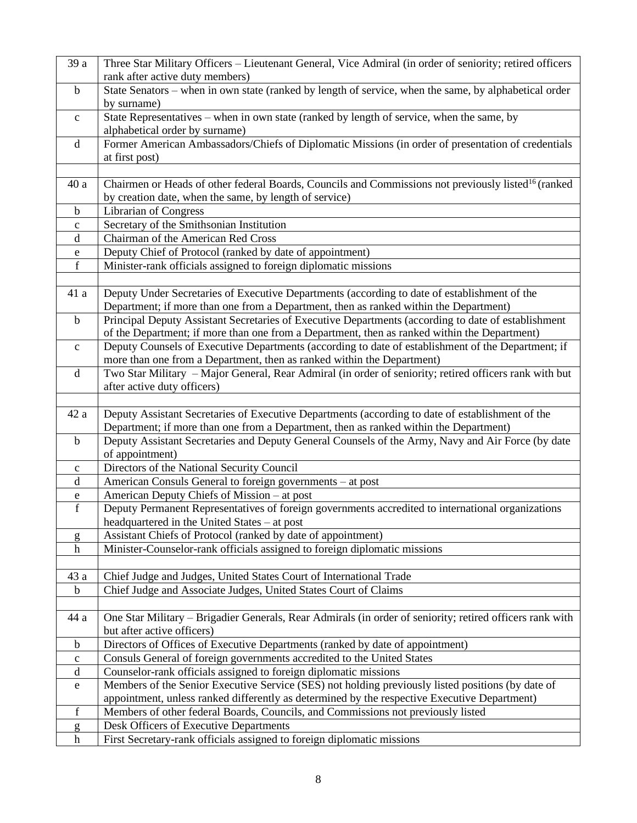| 39 a                     | Three Star Military Officers - Lieutenant General, Vice Admiral (in order of seniority; retired officers                                          |
|--------------------------|---------------------------------------------------------------------------------------------------------------------------------------------------|
|                          | rank after active duty members)                                                                                                                   |
| $\mathbf b$              | State Senators – when in own state (ranked by length of service, when the same, by alphabetical order                                             |
|                          | by surname)                                                                                                                                       |
| $\mathbf c$              | State Representatives – when in own state (ranked by length of service, when the same, by                                                         |
|                          | alphabetical order by surname)                                                                                                                    |
| d                        | Former American Ambassadors/Chiefs of Diplomatic Missions (in order of presentation of credentials                                                |
|                          | at first post)                                                                                                                                    |
|                          |                                                                                                                                                   |
| 40a                      | Chairmen or Heads of other federal Boards, Councils and Commissions not previously listed <sup>16</sup> (ranked                                   |
|                          | by creation date, when the same, by length of service)                                                                                            |
| $\mathbf b$              | Librarian of Congress                                                                                                                             |
| $\mathbf c$              | Secretary of the Smithsonian Institution                                                                                                          |
| d                        | Chairman of the American Red Cross                                                                                                                |
| e                        | Deputy Chief of Protocol (ranked by date of appointment)                                                                                          |
| $\mathbf f$              | Minister-rank officials assigned to foreign diplomatic missions                                                                                   |
|                          |                                                                                                                                                   |
| 41 a                     | Deputy Under Secretaries of Executive Departments (according to date of establishment of the                                                      |
|                          | Department; if more than one from a Department, then as ranked within the Department)                                                             |
| $\mathbf b$              | Principal Deputy Assistant Secretaries of Executive Departments (according to date of establishment                                               |
|                          | of the Department; if more than one from a Department, then as ranked within the Department)                                                      |
| $\mathbf c$              | Deputy Counsels of Executive Departments (according to date of establishment of the Department; if                                                |
|                          | more than one from a Department, then as ranked within the Department)                                                                            |
| d                        | Two Star Military - Major General, Rear Admiral (in order of seniority; retired officers rank with but                                            |
|                          | after active duty officers)                                                                                                                       |
|                          |                                                                                                                                                   |
| 42 a                     | Deputy Assistant Secretaries of Executive Departments (according to date of establishment of the                                                  |
|                          | Department; if more than one from a Department, then as ranked within the Department)                                                             |
| $\mathbf b$              | Deputy Assistant Secretaries and Deputy General Counsels of the Army, Navy and Air Force (by date                                                 |
|                          | of appointment)                                                                                                                                   |
| $\mathbf c$              | Directors of the National Security Council                                                                                                        |
| $\mathbf d$              | American Consuls General to foreign governments - at post                                                                                         |
| ${\bf e}$<br>$\mathbf f$ | American Deputy Chiefs of Mission – at post                                                                                                       |
|                          | Deputy Permanent Representatives of foreign governments accredited to international organizations<br>headquartered in the United States - at post |
|                          | Assistant Chiefs of Protocol (ranked by date of appointment)                                                                                      |
| g<br>$\mathbf h$         | Minister-Counselor-rank officials assigned to foreign diplomatic missions                                                                         |
|                          |                                                                                                                                                   |
| 43 a                     | Chief Judge and Judges, United States Court of International Trade                                                                                |
| $\mathbf b$              | Chief Judge and Associate Judges, United States Court of Claims                                                                                   |
|                          |                                                                                                                                                   |
| 44 a                     | One Star Military – Brigadier Generals, Rear Admirals (in order of seniority; retired officers rank with                                          |
|                          | but after active officers)                                                                                                                        |
| $\mathbf b$              | Directors of Offices of Executive Departments (ranked by date of appointment)                                                                     |
| $\mathbf c$              | Consuls General of foreign governments accredited to the United States                                                                            |
| $\mathbf d$              | Counselor-rank officials assigned to foreign diplomatic missions                                                                                  |
| ${\bf e}$                | Members of the Senior Executive Service (SES) not holding previously listed positions (by date of                                                 |
|                          | appointment, unless ranked differently as determined by the respective Executive Department)                                                      |
| f                        | Members of other federal Boards, Councils, and Commissions not previously listed                                                                  |
| g                        |                                                                                                                                                   |
|                          | Desk Officers of Executive Departments                                                                                                            |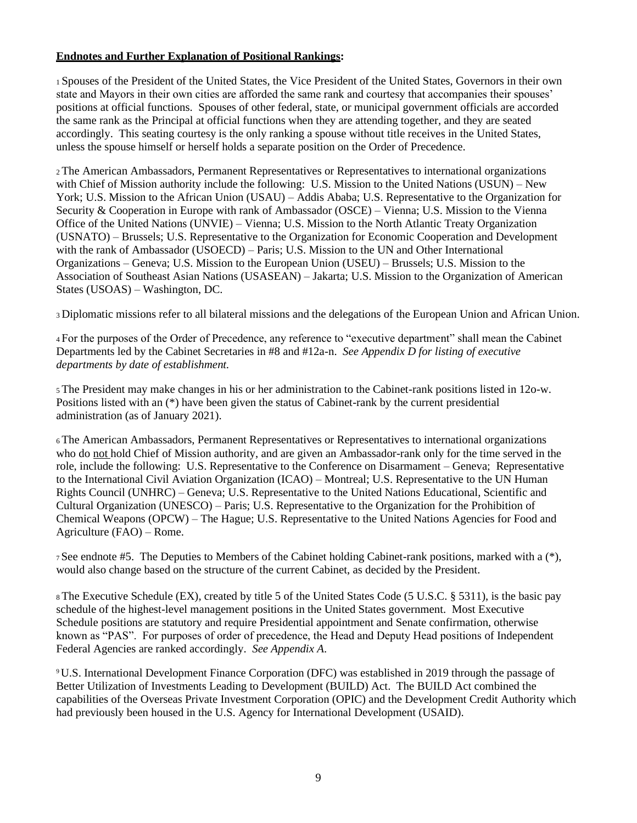### **Endnotes and Further Explanation of Positional Rankings:**

<sup>1</sup>Spouses of the President of the United States, the Vice President of the United States, Governors in their own state and Mayors in their own cities are afforded the same rank and courtesy that accompanies their spouses' positions at official functions. Spouses of other federal, state, or municipal government officials are accorded the same rank as the Principal at official functions when they are attending together, and they are seated accordingly. This seating courtesy is the only ranking a spouse without title receives in the United States, unless the spouse himself or herself holds a separate position on the Order of Precedence.

<sup>2</sup>The American Ambassadors, Permanent Representatives or Representatives to international organizations with Chief of Mission authority include the following: U.S. Mission to the United Nations (USUN) – New York; U.S. Mission to the African Union (USAU) – Addis Ababa; U.S. Representative to the Organization for Security & Cooperation in Europe with rank of Ambassador (OSCE) – Vienna; U.S. Mission to the Vienna Office of the United Nations (UNVIE) – Vienna; U.S. Mission to the North Atlantic Treaty Organization (USNATO) – Brussels; U.S. Representative to the Organization for Economic Cooperation and Development with the rank of Ambassador (USOECD) – Paris; U.S. Mission to the UN and Other International Organizations – Geneva; U.S. Mission to the European Union (USEU) – Brussels; U.S. Mission to the Association of Southeast Asian Nations (USASEAN) – Jakarta; U.S. Mission to the Organization of American States (USOAS) – Washington, DC.

<sup>3</sup>Diplomatic missions refer to all bilateral missions and the delegations of the European Union and African Union.

<sup>4</sup>For the purposes of the Order of Precedence, any reference to "executive department" shall mean the Cabinet Departments led by the Cabinet Secretaries in #8 and #12a-n. *See Appendix D for listing of executive departments by date of establishment.*

<sup>5</sup>The President may make changes in his or her administration to the Cabinet-rank positions listed in 12o-w. Positions listed with an (\*) have been given the status of Cabinet-rank by the current presidential administration (as of January 2021).

<sup>6</sup>The American Ambassadors, Permanent Representatives or Representatives to international organizations who do not hold Chief of Mission authority, and are given an Ambassador-rank only for the time served in the role, include the following: U.S. Representative to the Conference on Disarmament – Geneva; Representative to the International Civil Aviation Organization (ICAO) – Montreal; U.S. Representative to the UN Human Rights Council (UNHRC) – Geneva; U.S. Representative to the United Nations Educational, Scientific and Cultural Organization (UNESCO) – Paris; U.S. Representative to the Organization for the Prohibition of Chemical Weapons (OPCW) – The Hague; U.S. Representative to the United Nations Agencies for Food and Agriculture (FAO) – Rome.

<sup>7</sup>See endnote #5. The Deputies to Members of the Cabinet holding Cabinet-rank positions, marked with a (\*), would also change based on the structure of the current Cabinet, as decided by the President.

<sup>8</sup>The Executive Schedule (EX), created by title 5 of the United States Code (5 U.S.C. § 5311), is the basic pay schedule of the highest-level management positions in the United States government. Most Executive Schedule positions are statutory and require Presidential appointment and Senate confirmation, otherwise known as "PAS". For purposes of order of precedence, the Head and Deputy Head positions of Independent Federal Agencies are ranked accordingly. *See Appendix A*.

<sup>9</sup>U.S. International Development Finance Corporation (DFC) was established in 2019 through the passage of Better Utilization of Investments Leading to Development (BUILD) Act. The BUILD Act combined the capabilities of the Overseas Private Investment Corporation (OPIC) and the Development Credit Authority which had previously been housed in the U.S. Agency for International Development (USAID).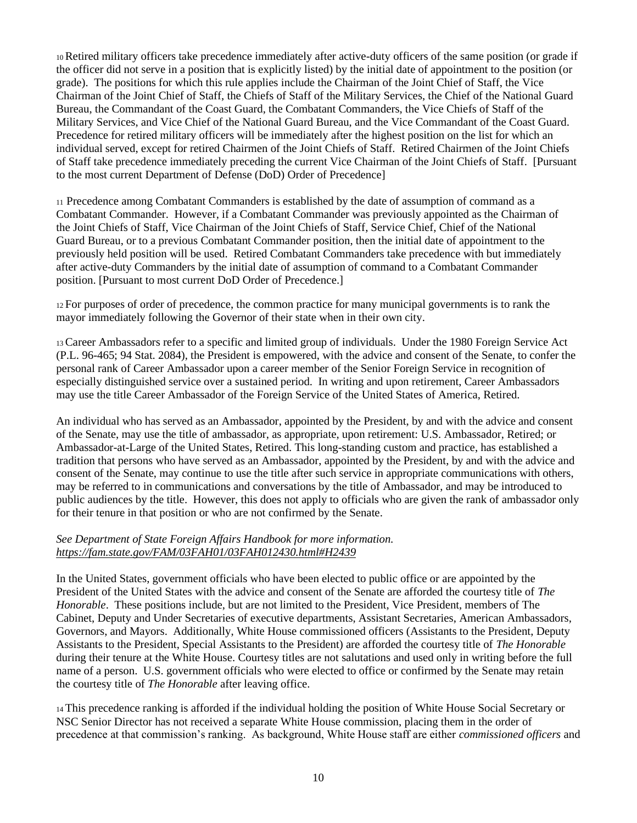<sup>10</sup>Retired military officers take precedence immediately after active-duty officers of the same position (or grade if the officer did not serve in a position that is explicitly listed) by the initial date of appointment to the position (or grade). The positions for which this rule applies include the Chairman of the Joint Chief of Staff, the Vice Chairman of the Joint Chief of Staff, the Chiefs of Staff of the Military Services, the Chief of the National Guard Bureau, the Commandant of the Coast Guard, the Combatant Commanders, the Vice Chiefs of Staff of the Military Services, and Vice Chief of the National Guard Bureau, and the Vice Commandant of the Coast Guard. Precedence for retired military officers will be immediately after the highest position on the list for which an individual served, except for retired Chairmen of the Joint Chiefs of Staff. Retired Chairmen of the Joint Chiefs of Staff take precedence immediately preceding the current Vice Chairman of the Joint Chiefs of Staff. [Pursuant to the most current Department of Defense (DoD) Order of Precedence]

<sup>11</sup> Precedence among Combatant Commanders is established by the date of assumption of command as a Combatant Commander. However, if a Combatant Commander was previously appointed as the Chairman of the Joint Chiefs of Staff, Vice Chairman of the Joint Chiefs of Staff, Service Chief, Chief of the National Guard Bureau, or to a previous Combatant Commander position, then the initial date of appointment to the previously held position will be used. Retired Combatant Commanders take precedence with but immediately after active-duty Commanders by the initial date of assumption of command to a Combatant Commander position. [Pursuant to most current DoD Order of Precedence.]

<sup>12</sup>For purposes of order of precedence, the common practice for many municipal governments is to rank the mayor immediately following the Governor of their state when in their own city.

<sup>13</sup>Career Ambassadors refer to a specific and limited group of individuals. Under the 1980 Foreign Service Act (P.L. 96-465; 94 Stat. 2084), the President is empowered, with the advice and consent of the Senate, to confer the personal rank of Career Ambassador upon a career member of the Senior Foreign Service in recognition of especially distinguished service over a sustained period. In writing and upon retirement, Career Ambassadors may use the title Career Ambassador of the Foreign Service of the United States of America, Retired.

An individual who has served as an Ambassador, appointed by the President, by and with the advice and consent of the Senate, may use the title of ambassador, as appropriate, upon retirement: U.S. Ambassador, Retired; or Ambassador-at-Large of the United States, Retired. This long-standing custom and practice, has established a tradition that persons who have served as an Ambassador, appointed by the President, by and with the advice and consent of the Senate, may continue to use the title after such service in appropriate communications with others, may be referred to in communications and conversations by the title of Ambassador, and may be introduced to public audiences by the title. However, this does not apply to officials who are given the rank of ambassador only for their tenure in that position or who are not confirmed by the Senate.

### *See Department of State Foreign Affairs Handbook for more information. <https://fam.state.gov/FAM/03FAH01/03FAH012430.html#H2439>*

In the United States, government officials who have been elected to public office or are appointed by the President of the United States with the advice and consent of the Senate are afforded the courtesy title of *The Honorable*. These positions include, but are not limited to the President, Vice President, members of The Cabinet, Deputy and Under Secretaries of executive departments, Assistant Secretaries, American Ambassadors, Governors, and Mayors. Additionally, White House commissioned officers (Assistants to the President, Deputy Assistants to the President, Special Assistants to the President) are afforded the courtesy title of *The Honorable*  during their tenure at the White House. Courtesy titles are not salutations and used only in writing before the full name of a person. U.S. government officials who were elected to office or confirmed by the Senate may retain the courtesy title of *The Honorable* after leaving office.

<sup>14</sup>This precedence ranking is afforded if the individual holding the position of White House Social Secretary or NSC Senior Director has not received a separate White House commission, placing them in the order of precedence at that commission's ranking. As background, White House staff are either *commissioned officers* and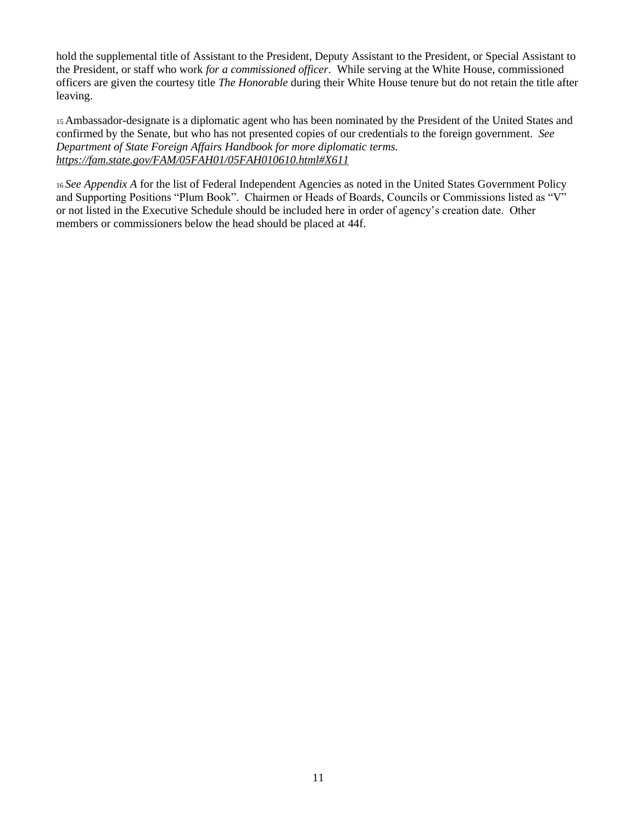hold the supplemental title of Assistant to the President, Deputy Assistant to the President, or Special Assistant to the President, or staff who work *for a commissioned officer*. While serving at the White House, commissioned officers are given the courtesy title *The Honorable* during their White House tenure but do not retain the title after leaving.

<sup>15</sup>Ambassador-designate is a diplomatic agent who has been nominated by the President of the United States and confirmed by the Senate, but who has not presented copies of our credentials to the foreign government. *See Department of State Foreign Affairs Handbook for more diplomatic terms. <https://fam.state.gov/FAM/05FAH01/05FAH010610.html#X611>*

<sup>16</sup>*See Appendix A* for the list of Federal Independent Agencies as noted in the United States Government Policy and Supporting Positions "Plum Book". Chairmen or Heads of Boards, Councils or Commissions listed as "V" or not listed in the Executive Schedule should be included here in order of agency's creation date. Other members or commissioners below the head should be placed at 44f.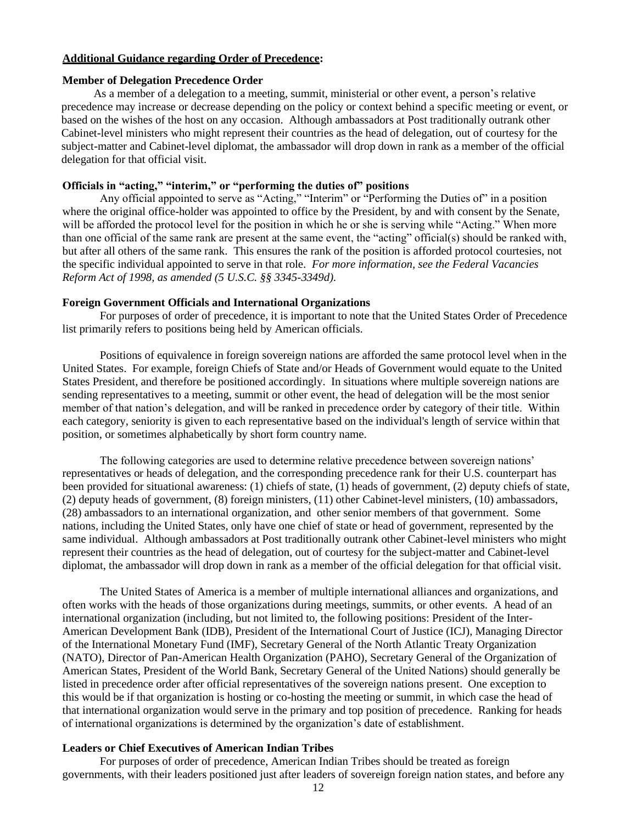### **Additional Guidance regarding Order of Precedence:**

#### **Member of Delegation Precedence Order**

As a member of a delegation to a meeting, summit, ministerial or other event, a person's relative precedence may increase or decrease depending on the policy or context behind a specific meeting or event, or based on the wishes of the host on any occasion. Although ambassadors at Post traditionally outrank other Cabinet-level ministers who might represent their countries as the head of delegation, out of courtesy for the subject-matter and Cabinet-level diplomat, the ambassador will drop down in rank as a member of the official delegation for that official visit.

#### **Officials in "acting," "interim," or "performing the duties of" positions**

Any official appointed to serve as "Acting," "Interim" or "Performing the Duties of" in a position where the original office-holder was appointed to office by the President, by and with consent by the Senate, will be afforded the protocol level for the position in which he or she is serving while "Acting." When more than one official of the same rank are present at the same event, the "acting" official(s) should be ranked with, but after all others of the same rank. This ensures the rank of the position is afforded protocol courtesies, not the specific individual appointed to serve in that role. *For more information, see the Federal Vacancies Reform Act of 1998, as amended (5 U.S.C. §§ 3345-3349d).*

#### **Foreign Government Officials and International Organizations**

For purposes of order of precedence, it is important to note that the United States Order of Precedence list primarily refers to positions being held by American officials.

Positions of equivalence in foreign sovereign nations are afforded the same protocol level when in the United States. For example, foreign Chiefs of State and/or Heads of Government would equate to the United States President, and therefore be positioned accordingly. In situations where multiple sovereign nations are sending representatives to a meeting, summit or other event, the head of delegation will be the most senior member of that nation's delegation, and will be ranked in precedence order by category of their title. Within each category, seniority is given to each representative based on the individual's length of service within that position, or sometimes alphabetically by short form country name.

The following categories are used to determine relative precedence between sovereign nations' representatives or heads of delegation, and the corresponding precedence rank for their U.S. counterpart has been provided for situational awareness: (1) chiefs of state, (1) heads of government, (2) deputy chiefs of state, (2) deputy heads of government, (8) foreign ministers, (11) other Cabinet-level ministers, (10) ambassadors, (28) ambassadors to an international organization, and other senior members of that government. Some nations, including the United States, only have one chief of state or head of government, represented by the same individual. Although ambassadors at Post traditionally outrank other Cabinet-level ministers who might represent their countries as the head of delegation, out of courtesy for the subject-matter and Cabinet-level diplomat, the ambassador will drop down in rank as a member of the official delegation for that official visit.

The United States of America is a member of multiple international alliances and organizations, and often works with the heads of those organizations during meetings, summits, or other events. A head of an international organization (including, but not limited to, the following positions: President of the Inter-American Development Bank (IDB), President of the International Court of Justice (ICJ), Managing Director of the International Monetary Fund (IMF), Secretary General of the North Atlantic Treaty Organization (NATO), Director of Pan-American Health Organization (PAHO), Secretary General of the Organization of American States, President of the World Bank, Secretary General of the United Nations) should generally be listed in precedence order after official representatives of the sovereign nations present. One exception to this would be if that organization is hosting or co-hosting the meeting or summit, in which case the head of that international organization would serve in the primary and top position of precedence. Ranking for heads of international organizations is determined by the organization's date of establishment.

### **Leaders or Chief Executives of American Indian Tribes**

For purposes of order of precedence, American Indian Tribes should be treated as foreign governments, with their leaders positioned just after leaders of sovereign foreign nation states, and before any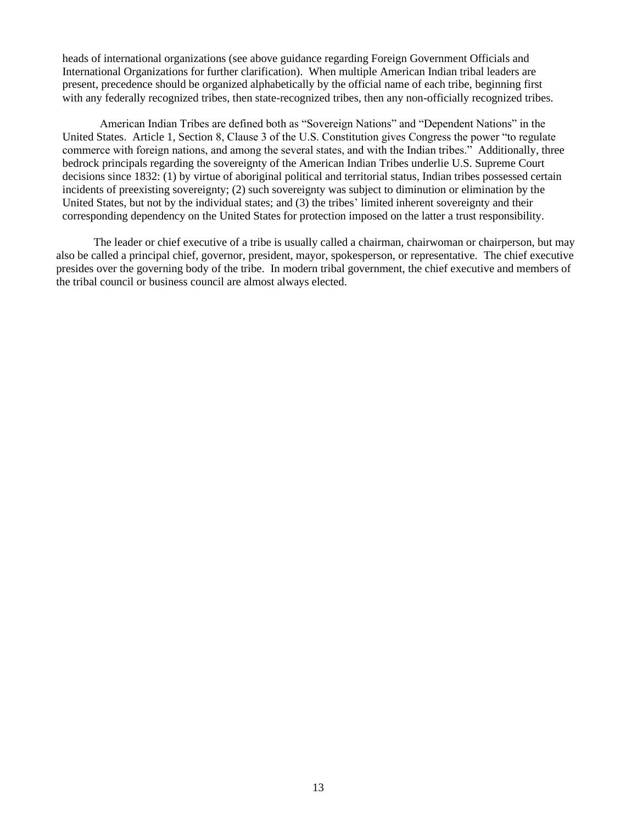heads of international organizations (see above guidance regarding Foreign Government Officials and International Organizations for further clarification). When multiple American Indian tribal leaders are present, precedence should be organized alphabetically by the official name of each tribe, beginning first with any federally recognized tribes, then state-recognized tribes, then any non-officially recognized tribes.

American Indian Tribes are defined both as "Sovereign Nations" and "Dependent Nations" in the United States. Article 1, Section 8, Clause 3 of the U.S. Constitution gives Congress the power "to regulate commerce with foreign nations, and among the several states, and with the Indian tribes." Additionally, three bedrock principals regarding the sovereignty of the American Indian Tribes underlie U.S. Supreme Court decisions since 1832: (1) by virtue of aboriginal political and territorial status, Indian tribes possessed certain incidents of preexisting sovereignty; (2) such sovereignty was subject to diminution or elimination by the United States, but not by the individual states; and (3) the tribes' limited inherent sovereignty and their corresponding dependency on the United States for protection imposed on the latter a trust responsibility.

The leader or chief executive of a tribe is usually called a chairman, chairwoman or chairperson, but may also be called a principal chief, governor, president, mayor, spokesperson, or representative. The chief executive presides over the governing body of the tribe. In modern tribal government, the chief executive and members of the tribal council or business council are almost always elected.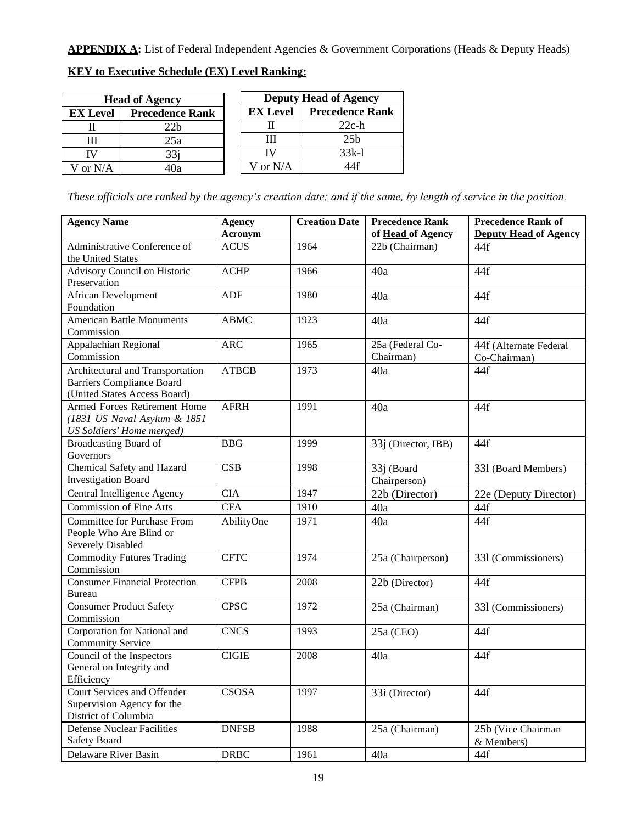APPENDIX A: List of Federal Independent Agencies & Government Corporations (Heads & Deputy Heads)

| <b>Head of Agency</b>                     |     |  | <b>Deputy Head of Agency</b> |                        |  |
|-------------------------------------------|-----|--|------------------------------|------------------------|--|
| <b>Precedence Rank</b><br><b>EX Level</b> |     |  | <b>EX Level</b>              | <b>Precedence Rank</b> |  |
|                                           | 22b |  |                              | $22c-h$                |  |
| Ш                                         | 25a |  |                              | 25 <sub>b</sub>        |  |
| IV                                        | 33i |  | TV                           | $33k-1$                |  |
| I or N/A                                  | .Оа |  | √ or N/A                     |                        |  |

### **KEY to Executive Schedule (EX) Level Ranking:**

*These officials are ranked by the agency's creation date; and if the same, by length of service in the position.*

| <b>Agency Name</b>                   | <b>Agency</b>          | <b>Creation Date</b> | <b>Precedence Rank</b>              | <b>Precedence Rank of</b><br><b>Deputy Head of Agency</b> |
|--------------------------------------|------------------------|----------------------|-------------------------------------|-----------------------------------------------------------|
| Administrative Conference of         | Acronym<br><b>ACUS</b> | 1964                 | of Head of Agency<br>22b (Chairman) |                                                           |
| the United States                    |                        |                      |                                     | 44f                                                       |
| Advisory Council on Historic         | <b>ACHP</b>            | 1966                 | 40a                                 | 44f                                                       |
| Preservation                         |                        |                      |                                     |                                                           |
| <b>African Development</b>           | ADF                    | 1980                 | 40a                                 | 44f                                                       |
| Foundation                           |                        |                      |                                     |                                                           |
| American Battle Monuments            | <b>ABMC</b>            | 1923                 | 40a                                 | 44f                                                       |
| Commission                           |                        |                      |                                     |                                                           |
| Appalachian Regional                 | <b>ARC</b>             | 1965                 | 25a (Federal Co-                    | 44f (Alternate Federal                                    |
| Commission                           |                        |                      | Chairman)                           | Co-Chairman)                                              |
| Architectural and Transportation     | <b>ATBCB</b>           | 1973                 | 40a                                 | 44f                                                       |
| <b>Barriers Compliance Board</b>     |                        |                      |                                     |                                                           |
| (United States Access Board)         |                        |                      |                                     |                                                           |
| Armed Forces Retirement Home         | <b>AFRH</b>            | 1991                 | 40a                                 | 44f                                                       |
| (1831 US Naval Asylum & 1851         |                        |                      |                                     |                                                           |
| US Soldiers' Home merged)            |                        |                      |                                     |                                                           |
| <b>Broadcasting Board of</b>         | <b>BBG</b>             | 1999                 | 33j (Director, IBB)                 | 44f                                                       |
| Governors                            |                        |                      |                                     |                                                           |
| Chemical Safety and Hazard           | <b>CSB</b>             | 1998                 | 33j (Board                          | 331 (Board Members)                                       |
| <b>Investigation Board</b>           |                        |                      | Chairperson)                        |                                                           |
| Central Intelligence Agency          | <b>CIA</b>             | 1947                 | 22b (Director)                      | 22e (Deputy Director)                                     |
| <b>Commission of Fine Arts</b>       | <b>CFA</b>             | 1910                 | 40a                                 | 44f                                                       |
| <b>Committee for Purchase From</b>   | AbilityOne             | 1971                 | 40a                                 | 44f                                                       |
| People Who Are Blind or              |                        |                      |                                     |                                                           |
| Severely Disabled                    |                        |                      |                                     |                                                           |
| <b>Commodity Futures Trading</b>     | <b>CFTC</b>            | 1974                 | 25a (Chairperson)                   | 331 (Commissioners)                                       |
| Commission                           |                        |                      |                                     |                                                           |
| <b>Consumer Financial Protection</b> | <b>CFPB</b>            | 2008                 | 22b (Director)                      | 44f                                                       |
| <b>Bureau</b>                        |                        |                      |                                     |                                                           |
| <b>Consumer Product Safety</b>       | <b>CPSC</b>            | 1972                 | 25a (Chairman)                      | 331 (Commissioners)                                       |
| Commission                           |                        |                      |                                     |                                                           |
| Corporation for National and         | <b>CNCS</b>            | 1993                 | $25a$ (CEO)                         | 44f                                                       |
| <b>Community Service</b>             |                        |                      |                                     |                                                           |
| Council of the Inspectors            | <b>CIGIE</b>           | 2008                 | 40a                                 | 44f                                                       |
| General on Integrity and             |                        |                      |                                     |                                                           |
| Efficiency                           |                        |                      |                                     |                                                           |
| Court Services and Offender          | <b>CSOSA</b>           | 1997                 | 33i (Director)                      | 44f                                                       |
| Supervision Agency for the           |                        |                      |                                     |                                                           |
| District of Columbia                 |                        |                      |                                     |                                                           |
| <b>Defense Nuclear Facilities</b>    | <b>DNFSB</b>           | 1988                 | 25a (Chairman)                      | 25b (Vice Chairman                                        |
| Safety Board                         |                        |                      |                                     | & Members)                                                |
| Delaware River Basin                 | <b>DRBC</b>            | 1961                 | 40a                                 | 44f                                                       |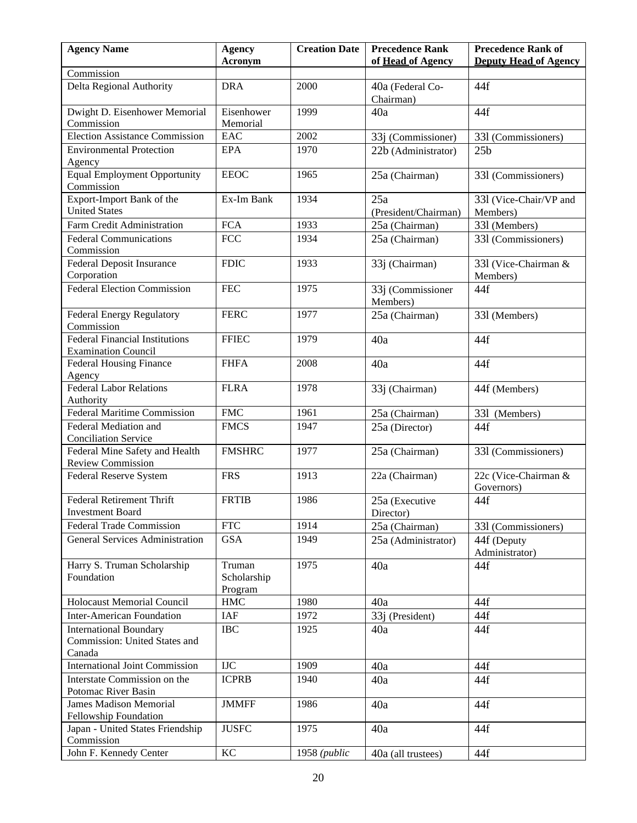| of Head of Agency<br><b>Deputy Head of Agency</b><br>Acronym<br>Commission<br>Delta Regional Authority<br><b>DRA</b><br>2000<br>40a (Federal Co-<br>44f<br>Chairman)<br>Dwight D. Eisenhower Memorial<br>Eisenhower<br>1999<br>40a<br>44f<br>Commission<br>Memorial<br><b>Election Assistance Commission</b><br>2002<br>EAC<br>33j (Commissioner)<br>331 (Commissioners)<br><b>Environmental Protection</b><br>1970<br>EPA<br>25 <sub>b</sub><br>22b (Administrator)<br>Agency<br><b>Equal Employment Opportunity</b><br><b>EEOC</b><br>1965<br>331 (Commissioners)<br>25a (Chairman)<br>Commission<br>Export-Import Bank of the<br>Ex-Im Bank<br>1934<br>25a<br>331 (Vice-Chair/VP and<br><b>United States</b><br>(President/Chairman)<br>Members)<br><b>FCA</b><br>1933<br>Farm Credit Administration<br>331 (Members)<br>25a (Chairman)<br>$\rm{FCC}$<br><b>Federal Communications</b><br>1934<br>25a (Chairman)<br>331 (Commissioners)<br>Commission<br>Federal Deposit Insurance<br><b>FDIC</b><br>1933<br>33j (Chairman)<br>331 (Vice-Chairman &<br>Corporation<br>Members)<br><b>Federal Election Commission</b><br><b>FEC</b><br>1975<br>33j (Commissioner<br>44f<br>Members)<br><b>Federal Energy Regulatory</b><br><b>FERC</b><br>1977<br>25a (Chairman)<br>331 (Members)<br>Commission<br><b>Federal Financial Institutions</b><br><b>FFIEC</b><br>1979<br>44f<br>40a<br><b>Examination Council</b><br><b>Federal Housing Finance</b><br><b>FHFA</b><br>2008<br>40a<br>44f<br>Agency<br><b>Federal Labor Relations</b><br><b>FLRA</b><br>1978<br>33j (Chairman)<br>44f (Members)<br>Authority<br><b>Federal Maritime Commission</b><br><b>FMC</b><br>1961<br>25a (Chairman)<br>331 (Members)<br>Federal Mediation and<br><b>FMCS</b><br>44f<br>1947<br>25a (Director)<br><b>Conciliation Service</b><br><b>FMSHRC</b><br>Federal Mine Safety and Health<br>1977<br>331 (Commissioners)<br>25a (Chairman)<br><b>Review Commission</b><br>22c (Vice-Chairman &<br><b>FRS</b><br>22a (Chairman)<br>Federal Reserve System<br>1913<br>Governors)<br><b>Federal Retirement Thrift</b><br><b>FRTIB</b><br>1986<br>25a (Executive<br>44f<br><b>Investment Board</b><br>Director)<br><b>Federal Trade Commission</b><br><b>FTC</b><br>1914<br>25a (Chairman)<br>331 (Commissioners)<br><b>General Services Administration</b><br><b>GSA</b><br>1949<br>25a (Administrator)<br>44f (Deputy<br>Administrator)<br>Harry S. Truman Scholarship<br>Truman<br>1975<br>40a<br>44f<br>Foundation<br>Scholarship<br>Program<br><b>Holocaust Memorial Council</b><br>${\rm HMC}$<br>1980<br>44f<br>40a<br><b>Inter-American Foundation</b><br>IAF<br>1972<br>33j (President)<br>44f<br><b>International Boundary</b><br><b>IBC</b><br>44f<br>1925<br>40a<br>Commission: United States and<br>Canada<br><b>International Joint Commission</b><br><b>IJC</b><br>1909<br>40a<br>44f<br>Interstate Commission on the<br><b>ICPRB</b><br>44f<br>1940<br>40a<br>Potomac River Basin<br><b>James Madison Memorial</b><br><b>JMMFF</b><br>44f<br>1986<br>40a<br>Fellowship Foundation<br><b>JUSFC</b><br>Japan - United States Friendship<br>1975<br>44f<br>40a<br>Commission<br>John F. Kennedy Center<br>KC<br>$1958$ ( <i>public</i><br>44f<br>40a (all trustees) | <b>Agency Name</b> | <b>Agency</b> | <b>Creation Date</b> | <b>Precedence Rank</b> | <b>Precedence Rank of</b> |
|-------------------------------------------------------------------------------------------------------------------------------------------------------------------------------------------------------------------------------------------------------------------------------------------------------------------------------------------------------------------------------------------------------------------------------------------------------------------------------------------------------------------------------------------------------------------------------------------------------------------------------------------------------------------------------------------------------------------------------------------------------------------------------------------------------------------------------------------------------------------------------------------------------------------------------------------------------------------------------------------------------------------------------------------------------------------------------------------------------------------------------------------------------------------------------------------------------------------------------------------------------------------------------------------------------------------------------------------------------------------------------------------------------------------------------------------------------------------------------------------------------------------------------------------------------------------------------------------------------------------------------------------------------------------------------------------------------------------------------------------------------------------------------------------------------------------------------------------------------------------------------------------------------------------------------------------------------------------------------------------------------------------------------------------------------------------------------------------------------------------------------------------------------------------------------------------------------------------------------------------------------------------------------------------------------------------------------------------------------------------------------------------------------------------------------------------------------------------------------------------------------------------------------------------------------------------------------------------------------------------------------------------------------------------------------------------------------------------------------------------------------------------------------------------------------------------------------------------------------------------------------------------------------------------------------------------------------------------------------------------------------------------------------------------------------------------------------------------------------------------------------------------------------------------------------------------------------------------------------------------------------|--------------------|---------------|----------------------|------------------------|---------------------------|
|                                                                                                                                                                                                                                                                                                                                                                                                                                                                                                                                                                                                                                                                                                                                                                                                                                                                                                                                                                                                                                                                                                                                                                                                                                                                                                                                                                                                                                                                                                                                                                                                                                                                                                                                                                                                                                                                                                                                                                                                                                                                                                                                                                                                                                                                                                                                                                                                                                                                                                                                                                                                                                                                                                                                                                                                                                                                                                                                                                                                                                                                                                                                                                                                                                                       |                    |               |                      |                        |                           |
|                                                                                                                                                                                                                                                                                                                                                                                                                                                                                                                                                                                                                                                                                                                                                                                                                                                                                                                                                                                                                                                                                                                                                                                                                                                                                                                                                                                                                                                                                                                                                                                                                                                                                                                                                                                                                                                                                                                                                                                                                                                                                                                                                                                                                                                                                                                                                                                                                                                                                                                                                                                                                                                                                                                                                                                                                                                                                                                                                                                                                                                                                                                                                                                                                                                       |                    |               |                      |                        |                           |
|                                                                                                                                                                                                                                                                                                                                                                                                                                                                                                                                                                                                                                                                                                                                                                                                                                                                                                                                                                                                                                                                                                                                                                                                                                                                                                                                                                                                                                                                                                                                                                                                                                                                                                                                                                                                                                                                                                                                                                                                                                                                                                                                                                                                                                                                                                                                                                                                                                                                                                                                                                                                                                                                                                                                                                                                                                                                                                                                                                                                                                                                                                                                                                                                                                                       |                    |               |                      |                        |                           |
|                                                                                                                                                                                                                                                                                                                                                                                                                                                                                                                                                                                                                                                                                                                                                                                                                                                                                                                                                                                                                                                                                                                                                                                                                                                                                                                                                                                                                                                                                                                                                                                                                                                                                                                                                                                                                                                                                                                                                                                                                                                                                                                                                                                                                                                                                                                                                                                                                                                                                                                                                                                                                                                                                                                                                                                                                                                                                                                                                                                                                                                                                                                                                                                                                                                       |                    |               |                      |                        |                           |
|                                                                                                                                                                                                                                                                                                                                                                                                                                                                                                                                                                                                                                                                                                                                                                                                                                                                                                                                                                                                                                                                                                                                                                                                                                                                                                                                                                                                                                                                                                                                                                                                                                                                                                                                                                                                                                                                                                                                                                                                                                                                                                                                                                                                                                                                                                                                                                                                                                                                                                                                                                                                                                                                                                                                                                                                                                                                                                                                                                                                                                                                                                                                                                                                                                                       |                    |               |                      |                        |                           |
|                                                                                                                                                                                                                                                                                                                                                                                                                                                                                                                                                                                                                                                                                                                                                                                                                                                                                                                                                                                                                                                                                                                                                                                                                                                                                                                                                                                                                                                                                                                                                                                                                                                                                                                                                                                                                                                                                                                                                                                                                                                                                                                                                                                                                                                                                                                                                                                                                                                                                                                                                                                                                                                                                                                                                                                                                                                                                                                                                                                                                                                                                                                                                                                                                                                       |                    |               |                      |                        |                           |
|                                                                                                                                                                                                                                                                                                                                                                                                                                                                                                                                                                                                                                                                                                                                                                                                                                                                                                                                                                                                                                                                                                                                                                                                                                                                                                                                                                                                                                                                                                                                                                                                                                                                                                                                                                                                                                                                                                                                                                                                                                                                                                                                                                                                                                                                                                                                                                                                                                                                                                                                                                                                                                                                                                                                                                                                                                                                                                                                                                                                                                                                                                                                                                                                                                                       |                    |               |                      |                        |                           |
|                                                                                                                                                                                                                                                                                                                                                                                                                                                                                                                                                                                                                                                                                                                                                                                                                                                                                                                                                                                                                                                                                                                                                                                                                                                                                                                                                                                                                                                                                                                                                                                                                                                                                                                                                                                                                                                                                                                                                                                                                                                                                                                                                                                                                                                                                                                                                                                                                                                                                                                                                                                                                                                                                                                                                                                                                                                                                                                                                                                                                                                                                                                                                                                                                                                       |                    |               |                      |                        |                           |
|                                                                                                                                                                                                                                                                                                                                                                                                                                                                                                                                                                                                                                                                                                                                                                                                                                                                                                                                                                                                                                                                                                                                                                                                                                                                                                                                                                                                                                                                                                                                                                                                                                                                                                                                                                                                                                                                                                                                                                                                                                                                                                                                                                                                                                                                                                                                                                                                                                                                                                                                                                                                                                                                                                                                                                                                                                                                                                                                                                                                                                                                                                                                                                                                                                                       |                    |               |                      |                        |                           |
|                                                                                                                                                                                                                                                                                                                                                                                                                                                                                                                                                                                                                                                                                                                                                                                                                                                                                                                                                                                                                                                                                                                                                                                                                                                                                                                                                                                                                                                                                                                                                                                                                                                                                                                                                                                                                                                                                                                                                                                                                                                                                                                                                                                                                                                                                                                                                                                                                                                                                                                                                                                                                                                                                                                                                                                                                                                                                                                                                                                                                                                                                                                                                                                                                                                       |                    |               |                      |                        |                           |
|                                                                                                                                                                                                                                                                                                                                                                                                                                                                                                                                                                                                                                                                                                                                                                                                                                                                                                                                                                                                                                                                                                                                                                                                                                                                                                                                                                                                                                                                                                                                                                                                                                                                                                                                                                                                                                                                                                                                                                                                                                                                                                                                                                                                                                                                                                                                                                                                                                                                                                                                                                                                                                                                                                                                                                                                                                                                                                                                                                                                                                                                                                                                                                                                                                                       |                    |               |                      |                        |                           |
|                                                                                                                                                                                                                                                                                                                                                                                                                                                                                                                                                                                                                                                                                                                                                                                                                                                                                                                                                                                                                                                                                                                                                                                                                                                                                                                                                                                                                                                                                                                                                                                                                                                                                                                                                                                                                                                                                                                                                                                                                                                                                                                                                                                                                                                                                                                                                                                                                                                                                                                                                                                                                                                                                                                                                                                                                                                                                                                                                                                                                                                                                                                                                                                                                                                       |                    |               |                      |                        |                           |
|                                                                                                                                                                                                                                                                                                                                                                                                                                                                                                                                                                                                                                                                                                                                                                                                                                                                                                                                                                                                                                                                                                                                                                                                                                                                                                                                                                                                                                                                                                                                                                                                                                                                                                                                                                                                                                                                                                                                                                                                                                                                                                                                                                                                                                                                                                                                                                                                                                                                                                                                                                                                                                                                                                                                                                                                                                                                                                                                                                                                                                                                                                                                                                                                                                                       |                    |               |                      |                        |                           |
|                                                                                                                                                                                                                                                                                                                                                                                                                                                                                                                                                                                                                                                                                                                                                                                                                                                                                                                                                                                                                                                                                                                                                                                                                                                                                                                                                                                                                                                                                                                                                                                                                                                                                                                                                                                                                                                                                                                                                                                                                                                                                                                                                                                                                                                                                                                                                                                                                                                                                                                                                                                                                                                                                                                                                                                                                                                                                                                                                                                                                                                                                                                                                                                                                                                       |                    |               |                      |                        |                           |
|                                                                                                                                                                                                                                                                                                                                                                                                                                                                                                                                                                                                                                                                                                                                                                                                                                                                                                                                                                                                                                                                                                                                                                                                                                                                                                                                                                                                                                                                                                                                                                                                                                                                                                                                                                                                                                                                                                                                                                                                                                                                                                                                                                                                                                                                                                                                                                                                                                                                                                                                                                                                                                                                                                                                                                                                                                                                                                                                                                                                                                                                                                                                                                                                                                                       |                    |               |                      |                        |                           |
|                                                                                                                                                                                                                                                                                                                                                                                                                                                                                                                                                                                                                                                                                                                                                                                                                                                                                                                                                                                                                                                                                                                                                                                                                                                                                                                                                                                                                                                                                                                                                                                                                                                                                                                                                                                                                                                                                                                                                                                                                                                                                                                                                                                                                                                                                                                                                                                                                                                                                                                                                                                                                                                                                                                                                                                                                                                                                                                                                                                                                                                                                                                                                                                                                                                       |                    |               |                      |                        |                           |
|                                                                                                                                                                                                                                                                                                                                                                                                                                                                                                                                                                                                                                                                                                                                                                                                                                                                                                                                                                                                                                                                                                                                                                                                                                                                                                                                                                                                                                                                                                                                                                                                                                                                                                                                                                                                                                                                                                                                                                                                                                                                                                                                                                                                                                                                                                                                                                                                                                                                                                                                                                                                                                                                                                                                                                                                                                                                                                                                                                                                                                                                                                                                                                                                                                                       |                    |               |                      |                        |                           |
|                                                                                                                                                                                                                                                                                                                                                                                                                                                                                                                                                                                                                                                                                                                                                                                                                                                                                                                                                                                                                                                                                                                                                                                                                                                                                                                                                                                                                                                                                                                                                                                                                                                                                                                                                                                                                                                                                                                                                                                                                                                                                                                                                                                                                                                                                                                                                                                                                                                                                                                                                                                                                                                                                                                                                                                                                                                                                                                                                                                                                                                                                                                                                                                                                                                       |                    |               |                      |                        |                           |
|                                                                                                                                                                                                                                                                                                                                                                                                                                                                                                                                                                                                                                                                                                                                                                                                                                                                                                                                                                                                                                                                                                                                                                                                                                                                                                                                                                                                                                                                                                                                                                                                                                                                                                                                                                                                                                                                                                                                                                                                                                                                                                                                                                                                                                                                                                                                                                                                                                                                                                                                                                                                                                                                                                                                                                                                                                                                                                                                                                                                                                                                                                                                                                                                                                                       |                    |               |                      |                        |                           |
|                                                                                                                                                                                                                                                                                                                                                                                                                                                                                                                                                                                                                                                                                                                                                                                                                                                                                                                                                                                                                                                                                                                                                                                                                                                                                                                                                                                                                                                                                                                                                                                                                                                                                                                                                                                                                                                                                                                                                                                                                                                                                                                                                                                                                                                                                                                                                                                                                                                                                                                                                                                                                                                                                                                                                                                                                                                                                                                                                                                                                                                                                                                                                                                                                                                       |                    |               |                      |                        |                           |
|                                                                                                                                                                                                                                                                                                                                                                                                                                                                                                                                                                                                                                                                                                                                                                                                                                                                                                                                                                                                                                                                                                                                                                                                                                                                                                                                                                                                                                                                                                                                                                                                                                                                                                                                                                                                                                                                                                                                                                                                                                                                                                                                                                                                                                                                                                                                                                                                                                                                                                                                                                                                                                                                                                                                                                                                                                                                                                                                                                                                                                                                                                                                                                                                                                                       |                    |               |                      |                        |                           |
|                                                                                                                                                                                                                                                                                                                                                                                                                                                                                                                                                                                                                                                                                                                                                                                                                                                                                                                                                                                                                                                                                                                                                                                                                                                                                                                                                                                                                                                                                                                                                                                                                                                                                                                                                                                                                                                                                                                                                                                                                                                                                                                                                                                                                                                                                                                                                                                                                                                                                                                                                                                                                                                                                                                                                                                                                                                                                                                                                                                                                                                                                                                                                                                                                                                       |                    |               |                      |                        |                           |
|                                                                                                                                                                                                                                                                                                                                                                                                                                                                                                                                                                                                                                                                                                                                                                                                                                                                                                                                                                                                                                                                                                                                                                                                                                                                                                                                                                                                                                                                                                                                                                                                                                                                                                                                                                                                                                                                                                                                                                                                                                                                                                                                                                                                                                                                                                                                                                                                                                                                                                                                                                                                                                                                                                                                                                                                                                                                                                                                                                                                                                                                                                                                                                                                                                                       |                    |               |                      |                        |                           |
|                                                                                                                                                                                                                                                                                                                                                                                                                                                                                                                                                                                                                                                                                                                                                                                                                                                                                                                                                                                                                                                                                                                                                                                                                                                                                                                                                                                                                                                                                                                                                                                                                                                                                                                                                                                                                                                                                                                                                                                                                                                                                                                                                                                                                                                                                                                                                                                                                                                                                                                                                                                                                                                                                                                                                                                                                                                                                                                                                                                                                                                                                                                                                                                                                                                       |                    |               |                      |                        |                           |
|                                                                                                                                                                                                                                                                                                                                                                                                                                                                                                                                                                                                                                                                                                                                                                                                                                                                                                                                                                                                                                                                                                                                                                                                                                                                                                                                                                                                                                                                                                                                                                                                                                                                                                                                                                                                                                                                                                                                                                                                                                                                                                                                                                                                                                                                                                                                                                                                                                                                                                                                                                                                                                                                                                                                                                                                                                                                                                                                                                                                                                                                                                                                                                                                                                                       |                    |               |                      |                        |                           |
|                                                                                                                                                                                                                                                                                                                                                                                                                                                                                                                                                                                                                                                                                                                                                                                                                                                                                                                                                                                                                                                                                                                                                                                                                                                                                                                                                                                                                                                                                                                                                                                                                                                                                                                                                                                                                                                                                                                                                                                                                                                                                                                                                                                                                                                                                                                                                                                                                                                                                                                                                                                                                                                                                                                                                                                                                                                                                                                                                                                                                                                                                                                                                                                                                                                       |                    |               |                      |                        |                           |
|                                                                                                                                                                                                                                                                                                                                                                                                                                                                                                                                                                                                                                                                                                                                                                                                                                                                                                                                                                                                                                                                                                                                                                                                                                                                                                                                                                                                                                                                                                                                                                                                                                                                                                                                                                                                                                                                                                                                                                                                                                                                                                                                                                                                                                                                                                                                                                                                                                                                                                                                                                                                                                                                                                                                                                                                                                                                                                                                                                                                                                                                                                                                                                                                                                                       |                    |               |                      |                        |                           |
|                                                                                                                                                                                                                                                                                                                                                                                                                                                                                                                                                                                                                                                                                                                                                                                                                                                                                                                                                                                                                                                                                                                                                                                                                                                                                                                                                                                                                                                                                                                                                                                                                                                                                                                                                                                                                                                                                                                                                                                                                                                                                                                                                                                                                                                                                                                                                                                                                                                                                                                                                                                                                                                                                                                                                                                                                                                                                                                                                                                                                                                                                                                                                                                                                                                       |                    |               |                      |                        |                           |
|                                                                                                                                                                                                                                                                                                                                                                                                                                                                                                                                                                                                                                                                                                                                                                                                                                                                                                                                                                                                                                                                                                                                                                                                                                                                                                                                                                                                                                                                                                                                                                                                                                                                                                                                                                                                                                                                                                                                                                                                                                                                                                                                                                                                                                                                                                                                                                                                                                                                                                                                                                                                                                                                                                                                                                                                                                                                                                                                                                                                                                                                                                                                                                                                                                                       |                    |               |                      |                        |                           |
|                                                                                                                                                                                                                                                                                                                                                                                                                                                                                                                                                                                                                                                                                                                                                                                                                                                                                                                                                                                                                                                                                                                                                                                                                                                                                                                                                                                                                                                                                                                                                                                                                                                                                                                                                                                                                                                                                                                                                                                                                                                                                                                                                                                                                                                                                                                                                                                                                                                                                                                                                                                                                                                                                                                                                                                                                                                                                                                                                                                                                                                                                                                                                                                                                                                       |                    |               |                      |                        |                           |
|                                                                                                                                                                                                                                                                                                                                                                                                                                                                                                                                                                                                                                                                                                                                                                                                                                                                                                                                                                                                                                                                                                                                                                                                                                                                                                                                                                                                                                                                                                                                                                                                                                                                                                                                                                                                                                                                                                                                                                                                                                                                                                                                                                                                                                                                                                                                                                                                                                                                                                                                                                                                                                                                                                                                                                                                                                                                                                                                                                                                                                                                                                                                                                                                                                                       |                    |               |                      |                        |                           |
|                                                                                                                                                                                                                                                                                                                                                                                                                                                                                                                                                                                                                                                                                                                                                                                                                                                                                                                                                                                                                                                                                                                                                                                                                                                                                                                                                                                                                                                                                                                                                                                                                                                                                                                                                                                                                                                                                                                                                                                                                                                                                                                                                                                                                                                                                                                                                                                                                                                                                                                                                                                                                                                                                                                                                                                                                                                                                                                                                                                                                                                                                                                                                                                                                                                       |                    |               |                      |                        |                           |
|                                                                                                                                                                                                                                                                                                                                                                                                                                                                                                                                                                                                                                                                                                                                                                                                                                                                                                                                                                                                                                                                                                                                                                                                                                                                                                                                                                                                                                                                                                                                                                                                                                                                                                                                                                                                                                                                                                                                                                                                                                                                                                                                                                                                                                                                                                                                                                                                                                                                                                                                                                                                                                                                                                                                                                                                                                                                                                                                                                                                                                                                                                                                                                                                                                                       |                    |               |                      |                        |                           |
|                                                                                                                                                                                                                                                                                                                                                                                                                                                                                                                                                                                                                                                                                                                                                                                                                                                                                                                                                                                                                                                                                                                                                                                                                                                                                                                                                                                                                                                                                                                                                                                                                                                                                                                                                                                                                                                                                                                                                                                                                                                                                                                                                                                                                                                                                                                                                                                                                                                                                                                                                                                                                                                                                                                                                                                                                                                                                                                                                                                                                                                                                                                                                                                                                                                       |                    |               |                      |                        |                           |
|                                                                                                                                                                                                                                                                                                                                                                                                                                                                                                                                                                                                                                                                                                                                                                                                                                                                                                                                                                                                                                                                                                                                                                                                                                                                                                                                                                                                                                                                                                                                                                                                                                                                                                                                                                                                                                                                                                                                                                                                                                                                                                                                                                                                                                                                                                                                                                                                                                                                                                                                                                                                                                                                                                                                                                                                                                                                                                                                                                                                                                                                                                                                                                                                                                                       |                    |               |                      |                        |                           |
|                                                                                                                                                                                                                                                                                                                                                                                                                                                                                                                                                                                                                                                                                                                                                                                                                                                                                                                                                                                                                                                                                                                                                                                                                                                                                                                                                                                                                                                                                                                                                                                                                                                                                                                                                                                                                                                                                                                                                                                                                                                                                                                                                                                                                                                                                                                                                                                                                                                                                                                                                                                                                                                                                                                                                                                                                                                                                                                                                                                                                                                                                                                                                                                                                                                       |                    |               |                      |                        |                           |
|                                                                                                                                                                                                                                                                                                                                                                                                                                                                                                                                                                                                                                                                                                                                                                                                                                                                                                                                                                                                                                                                                                                                                                                                                                                                                                                                                                                                                                                                                                                                                                                                                                                                                                                                                                                                                                                                                                                                                                                                                                                                                                                                                                                                                                                                                                                                                                                                                                                                                                                                                                                                                                                                                                                                                                                                                                                                                                                                                                                                                                                                                                                                                                                                                                                       |                    |               |                      |                        |                           |
|                                                                                                                                                                                                                                                                                                                                                                                                                                                                                                                                                                                                                                                                                                                                                                                                                                                                                                                                                                                                                                                                                                                                                                                                                                                                                                                                                                                                                                                                                                                                                                                                                                                                                                                                                                                                                                                                                                                                                                                                                                                                                                                                                                                                                                                                                                                                                                                                                                                                                                                                                                                                                                                                                                                                                                                                                                                                                                                                                                                                                                                                                                                                                                                                                                                       |                    |               |                      |                        |                           |
|                                                                                                                                                                                                                                                                                                                                                                                                                                                                                                                                                                                                                                                                                                                                                                                                                                                                                                                                                                                                                                                                                                                                                                                                                                                                                                                                                                                                                                                                                                                                                                                                                                                                                                                                                                                                                                                                                                                                                                                                                                                                                                                                                                                                                                                                                                                                                                                                                                                                                                                                                                                                                                                                                                                                                                                                                                                                                                                                                                                                                                                                                                                                                                                                                                                       |                    |               |                      |                        |                           |
|                                                                                                                                                                                                                                                                                                                                                                                                                                                                                                                                                                                                                                                                                                                                                                                                                                                                                                                                                                                                                                                                                                                                                                                                                                                                                                                                                                                                                                                                                                                                                                                                                                                                                                                                                                                                                                                                                                                                                                                                                                                                                                                                                                                                                                                                                                                                                                                                                                                                                                                                                                                                                                                                                                                                                                                                                                                                                                                                                                                                                                                                                                                                                                                                                                                       |                    |               |                      |                        |                           |
|                                                                                                                                                                                                                                                                                                                                                                                                                                                                                                                                                                                                                                                                                                                                                                                                                                                                                                                                                                                                                                                                                                                                                                                                                                                                                                                                                                                                                                                                                                                                                                                                                                                                                                                                                                                                                                                                                                                                                                                                                                                                                                                                                                                                                                                                                                                                                                                                                                                                                                                                                                                                                                                                                                                                                                                                                                                                                                                                                                                                                                                                                                                                                                                                                                                       |                    |               |                      |                        |                           |
|                                                                                                                                                                                                                                                                                                                                                                                                                                                                                                                                                                                                                                                                                                                                                                                                                                                                                                                                                                                                                                                                                                                                                                                                                                                                                                                                                                                                                                                                                                                                                                                                                                                                                                                                                                                                                                                                                                                                                                                                                                                                                                                                                                                                                                                                                                                                                                                                                                                                                                                                                                                                                                                                                                                                                                                                                                                                                                                                                                                                                                                                                                                                                                                                                                                       |                    |               |                      |                        |                           |
|                                                                                                                                                                                                                                                                                                                                                                                                                                                                                                                                                                                                                                                                                                                                                                                                                                                                                                                                                                                                                                                                                                                                                                                                                                                                                                                                                                                                                                                                                                                                                                                                                                                                                                                                                                                                                                                                                                                                                                                                                                                                                                                                                                                                                                                                                                                                                                                                                                                                                                                                                                                                                                                                                                                                                                                                                                                                                                                                                                                                                                                                                                                                                                                                                                                       |                    |               |                      |                        |                           |
|                                                                                                                                                                                                                                                                                                                                                                                                                                                                                                                                                                                                                                                                                                                                                                                                                                                                                                                                                                                                                                                                                                                                                                                                                                                                                                                                                                                                                                                                                                                                                                                                                                                                                                                                                                                                                                                                                                                                                                                                                                                                                                                                                                                                                                                                                                                                                                                                                                                                                                                                                                                                                                                                                                                                                                                                                                                                                                                                                                                                                                                                                                                                                                                                                                                       |                    |               |                      |                        |                           |
|                                                                                                                                                                                                                                                                                                                                                                                                                                                                                                                                                                                                                                                                                                                                                                                                                                                                                                                                                                                                                                                                                                                                                                                                                                                                                                                                                                                                                                                                                                                                                                                                                                                                                                                                                                                                                                                                                                                                                                                                                                                                                                                                                                                                                                                                                                                                                                                                                                                                                                                                                                                                                                                                                                                                                                                                                                                                                                                                                                                                                                                                                                                                                                                                                                                       |                    |               |                      |                        |                           |
|                                                                                                                                                                                                                                                                                                                                                                                                                                                                                                                                                                                                                                                                                                                                                                                                                                                                                                                                                                                                                                                                                                                                                                                                                                                                                                                                                                                                                                                                                                                                                                                                                                                                                                                                                                                                                                                                                                                                                                                                                                                                                                                                                                                                                                                                                                                                                                                                                                                                                                                                                                                                                                                                                                                                                                                                                                                                                                                                                                                                                                                                                                                                                                                                                                                       |                    |               |                      |                        |                           |
|                                                                                                                                                                                                                                                                                                                                                                                                                                                                                                                                                                                                                                                                                                                                                                                                                                                                                                                                                                                                                                                                                                                                                                                                                                                                                                                                                                                                                                                                                                                                                                                                                                                                                                                                                                                                                                                                                                                                                                                                                                                                                                                                                                                                                                                                                                                                                                                                                                                                                                                                                                                                                                                                                                                                                                                                                                                                                                                                                                                                                                                                                                                                                                                                                                                       |                    |               |                      |                        |                           |
|                                                                                                                                                                                                                                                                                                                                                                                                                                                                                                                                                                                                                                                                                                                                                                                                                                                                                                                                                                                                                                                                                                                                                                                                                                                                                                                                                                                                                                                                                                                                                                                                                                                                                                                                                                                                                                                                                                                                                                                                                                                                                                                                                                                                                                                                                                                                                                                                                                                                                                                                                                                                                                                                                                                                                                                                                                                                                                                                                                                                                                                                                                                                                                                                                                                       |                    |               |                      |                        |                           |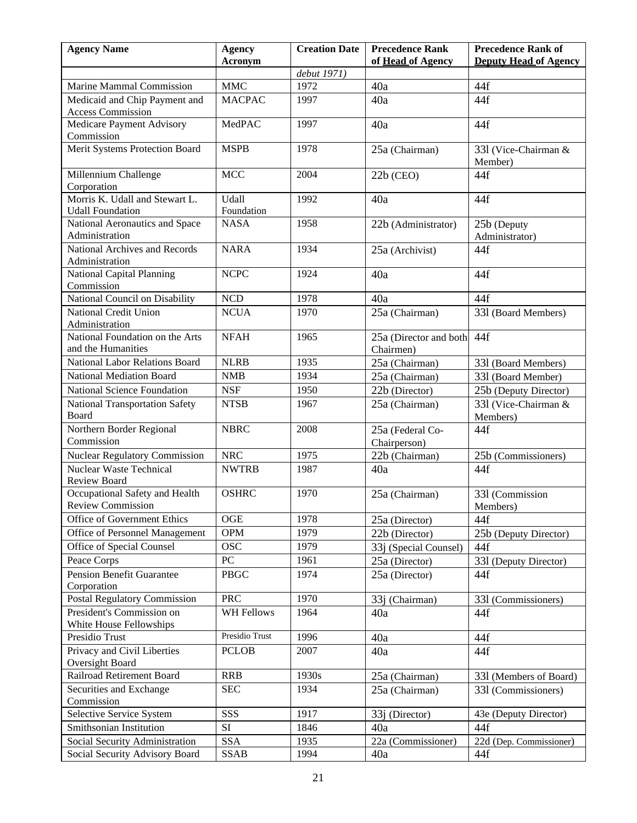| <b>Agency Name</b>                                        | <b>Agency</b>       | <b>Creation Date</b> | <b>Precedence Rank</b>              | <b>Precedence Rank of</b>                     |
|-----------------------------------------------------------|---------------------|----------------------|-------------------------------------|-----------------------------------------------|
|                                                           | Acronym             |                      | of Head of Agency                   | <b>Deputy Head of Agency</b>                  |
|                                                           | <b>MMC</b>          | debut 1971)<br>1972  |                                     |                                               |
| <b>Marine Mammal Commission</b>                           |                     |                      | 40a                                 | 44f                                           |
| Medicaid and Chip Payment and<br><b>Access Commission</b> | <b>MACPAC</b>       | 1997                 | 40a                                 | 44f                                           |
| Medicare Payment Advisory<br>Commission                   | MedPAC              | 1997                 | 40a                                 | 44f                                           |
| Merit Systems Protection Board                            | <b>MSPB</b>         | 1978                 | 25a (Chairman)                      | 331 (Vice-Chairman &<br>Member)               |
| Millennium Challenge<br>Corporation                       | <b>MCC</b>          | 2004                 | $22b$ (CEO)                         | 44f                                           |
| Morris K. Udall and Stewart L.<br><b>Udall Foundation</b> | Udall<br>Foundation | 1992                 | 40a                                 | 44f                                           |
| National Aeronautics and Space<br>Administration          | <b>NASA</b>         | 1958                 | 22b (Administrator)                 | 25b (Deputy<br>Administrator)                 |
| National Archives and Records<br>Administration           | <b>NARA</b>         | 1934                 | 25a (Archivist)                     | 44f                                           |
| <b>National Capital Planning</b><br>Commission            | <b>NCPC</b>         | 1924                 | 40a                                 | 44f                                           |
| National Council on Disability                            | $\rm NCD$           | 1978                 | 40a                                 | 44f                                           |
| National Credit Union<br>Administration                   | <b>NCUA</b>         | 1970                 | 25a (Chairman)                      | 331 (Board Members)                           |
| National Foundation on the Arts<br>and the Humanities     | <b>NFAH</b>         | 1965                 | 25a (Director and both<br>Chairmen) | 44f                                           |
| National Labor Relations Board                            | <b>NLRB</b>         | 1935                 | 25a (Chairman)                      | 331 (Board Members)                           |
| National Mediation Board                                  | <b>NMB</b>          | 1934                 | 25a (Chairman)                      | 331 (Board Member)                            |
| National Science Foundation                               | <b>NSF</b>          | 1950                 | 22b (Director)                      |                                               |
| <b>National Transportation Safety</b>                     | <b>NTSB</b>         | 1967                 |                                     | 25b (Deputy Director)<br>331 (Vice-Chairman & |
| Board                                                     |                     |                      | 25a (Chairman)                      | Members)                                      |
| Northern Border Regional                                  | <b>NBRC</b>         | 2008                 | 25a (Federal Co-                    | 44f                                           |
| Commission                                                |                     |                      | Chairperson)                        |                                               |
| <b>Nuclear Regulatory Commission</b>                      | <b>NRC</b>          | 1975                 | 22b (Chairman)                      | 25b (Commissioners)                           |
| <b>Nuclear Waste Technical</b>                            | <b>NWTRB</b>        | 1987                 | 40a                                 | 44f                                           |
| Review Board                                              |                     |                      |                                     |                                               |
| Occupational Safety and Health                            | <b>OSHRC</b>        | 1970                 | 25a (Chairman)                      | 331 (Commission                               |
| <b>Review Commission</b>                                  |                     |                      |                                     | Members)                                      |
| Office of Government Ethics                               | OGE                 | 1978                 | 25a (Director)                      | 44f                                           |
| Office of Personnel Management                            | <b>OPM</b>          | 1979                 | 22b (Director)                      | 25b (Deputy Director)                         |
| Office of Special Counsel                                 | <b>OSC</b>          | 1979                 | 33j (Special Counsel)               | 44f                                           |
| Peace Corps                                               | PC                  | 1961                 | 25a (Director)                      | 331 (Deputy Director)                         |
| <b>Pension Benefit Guarantee</b><br>Corporation           | <b>PBGC</b>         | 1974                 | 25a (Director)                      | 44f                                           |
| <b>Postal Regulatory Commission</b>                       | <b>PRC</b>          | 1970                 | 33j (Chairman)                      | 331 (Commissioners)                           |
| President's Commission on<br>White House Fellowships      | <b>WH Fellows</b>   | 1964                 | 40a                                 | 44f                                           |
| Presidio Trust                                            | Presidio Trust      | 1996                 | 40a                                 | 44f                                           |
| Privacy and Civil Liberties<br>Oversight Board            | <b>PCLOB</b>        | 2007                 | 40a                                 | 44f                                           |
| Railroad Retirement Board                                 | <b>RRB</b>          | 1930s                | 25a (Chairman)                      | 331 (Members of Board)                        |
| Securities and Exchange<br>Commission                     | <b>SEC</b>          | 1934                 | 25a (Chairman)                      | 331 (Commissioners)                           |
| Selective Service System                                  | SSS                 | 1917                 | $33j$ (Director)                    | 43e (Deputy Director)                         |
| Smithsonian Institution                                   | SI                  | 1846                 | 40a                                 | 44f                                           |
| Social Security Administration                            | <b>SSA</b>          | 1935                 | 22a (Commissioner)                  | 22d (Dep. Commissioner)                       |
| Social Security Advisory Board                            | SSAB                | 1994                 | 40a                                 | 44f                                           |
|                                                           |                     |                      |                                     |                                               |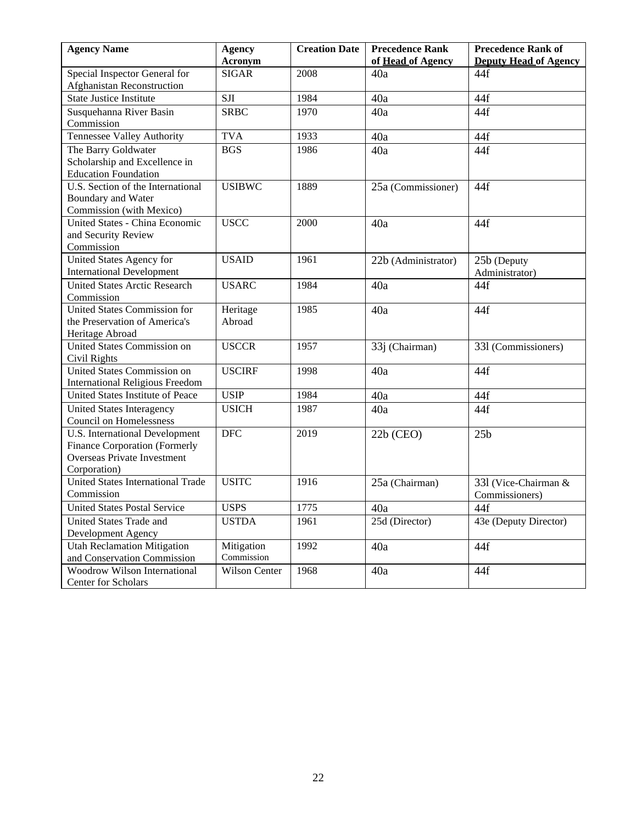| <b>Creation Date</b> | <b>Precedence Rank</b>                                                                                                                                       | <b>Precedence Rank of</b>                                                                                                                                                                                                             |
|----------------------|--------------------------------------------------------------------------------------------------------------------------------------------------------------|---------------------------------------------------------------------------------------------------------------------------------------------------------------------------------------------------------------------------------------|
|                      |                                                                                                                                                              | <b>Deputy Head of Agency</b>                                                                                                                                                                                                          |
|                      |                                                                                                                                                              | 44f                                                                                                                                                                                                                                   |
|                      |                                                                                                                                                              |                                                                                                                                                                                                                                       |
|                      |                                                                                                                                                              | 44f                                                                                                                                                                                                                                   |
|                      |                                                                                                                                                              | 44f                                                                                                                                                                                                                                   |
|                      |                                                                                                                                                              |                                                                                                                                                                                                                                       |
|                      |                                                                                                                                                              | 44f                                                                                                                                                                                                                                   |
|                      |                                                                                                                                                              | 44f                                                                                                                                                                                                                                   |
|                      |                                                                                                                                                              |                                                                                                                                                                                                                                       |
|                      |                                                                                                                                                              |                                                                                                                                                                                                                                       |
|                      |                                                                                                                                                              | 44f                                                                                                                                                                                                                                   |
|                      |                                                                                                                                                              |                                                                                                                                                                                                                                       |
|                      |                                                                                                                                                              |                                                                                                                                                                                                                                       |
|                      |                                                                                                                                                              | 44f                                                                                                                                                                                                                                   |
|                      |                                                                                                                                                              |                                                                                                                                                                                                                                       |
|                      |                                                                                                                                                              |                                                                                                                                                                                                                                       |
|                      |                                                                                                                                                              | 25b (Deputy                                                                                                                                                                                                                           |
|                      |                                                                                                                                                              | Administrator)                                                                                                                                                                                                                        |
|                      |                                                                                                                                                              | 44f                                                                                                                                                                                                                                   |
|                      |                                                                                                                                                              |                                                                                                                                                                                                                                       |
|                      |                                                                                                                                                              | 44f                                                                                                                                                                                                                                   |
|                      |                                                                                                                                                              |                                                                                                                                                                                                                                       |
|                      |                                                                                                                                                              |                                                                                                                                                                                                                                       |
|                      |                                                                                                                                                              | 331 (Commissioners)                                                                                                                                                                                                                   |
|                      |                                                                                                                                                              | 44f                                                                                                                                                                                                                                   |
|                      |                                                                                                                                                              |                                                                                                                                                                                                                                       |
|                      |                                                                                                                                                              | 44f                                                                                                                                                                                                                                   |
|                      |                                                                                                                                                              |                                                                                                                                                                                                                                       |
|                      |                                                                                                                                                              | 44f                                                                                                                                                                                                                                   |
|                      |                                                                                                                                                              |                                                                                                                                                                                                                                       |
|                      |                                                                                                                                                              | 25 <sub>b</sub>                                                                                                                                                                                                                       |
|                      |                                                                                                                                                              |                                                                                                                                                                                                                                       |
|                      |                                                                                                                                                              |                                                                                                                                                                                                                                       |
|                      |                                                                                                                                                              | 331 (Vice-Chairman &                                                                                                                                                                                                                  |
|                      |                                                                                                                                                              | Commissioners)                                                                                                                                                                                                                        |
|                      |                                                                                                                                                              | 44f                                                                                                                                                                                                                                   |
|                      |                                                                                                                                                              | 43e (Deputy Director)                                                                                                                                                                                                                 |
|                      |                                                                                                                                                              |                                                                                                                                                                                                                                       |
|                      |                                                                                                                                                              | 44f                                                                                                                                                                                                                                   |
|                      |                                                                                                                                                              |                                                                                                                                                                                                                                       |
|                      |                                                                                                                                                              | 44f                                                                                                                                                                                                                                   |
|                      |                                                                                                                                                              |                                                                                                                                                                                                                                       |
|                      | 2008<br>1984<br>1970<br>1933<br>1986<br>1889<br>2000<br>1961<br>1984<br>1985<br>1957<br>1998<br>1984<br>1987<br>2019<br>1916<br>1775<br>1961<br>1992<br>1968 | of Head of Agency<br>40a<br>40a<br>40a<br>40a<br>40a<br>25a (Commissioner)<br>40a<br>22b (Administrator)<br>40a<br>40a<br>33j (Chairman)<br>40a<br>40a<br>40a<br>$22b$ (CEO)<br>25a (Chairman)<br>40a<br>25d (Director)<br>40a<br>40a |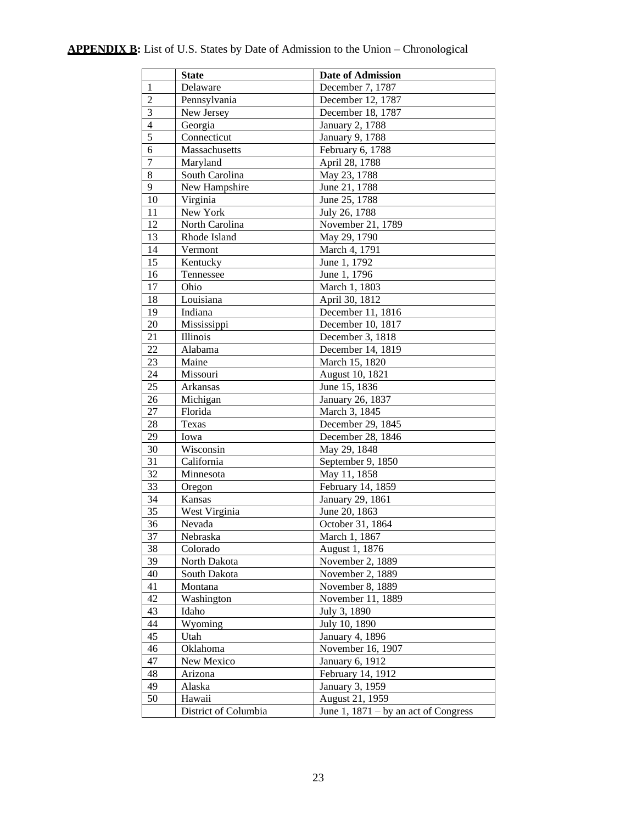# **APPENDIX B:** List of U.S. States by Date of Admission to the Union – Chronological

|                  | <b>State</b>         | <b>Date of Admission</b>               |
|------------------|----------------------|----------------------------------------|
| $\mathbf{1}$     | Delaware             | December 7, 1787                       |
| $\overline{2}$   | Pennsylvania         | December 12, 1787                      |
| 3                | New Jersey           | December 18, 1787                      |
| $\overline{4}$   | Georgia              | January 2, 1788                        |
| $\overline{5}$   | Connecticut          | January 9, 1788                        |
| 6                | Massachusetts        | February 6, 1788                       |
| $\boldsymbol{7}$ | Maryland             | April 28, 1788                         |
| 8                | South Carolina       | May 23, 1788                           |
| 9                | New Hampshire        | June 21, 1788                          |
| 10               | Virginia             | June 25, 1788                          |
| 11               | New York             | July 26, 1788                          |
| 12               | North Carolina       | November 21, 1789                      |
| 13               | Rhode Island         | May 29, 1790                           |
| 14               | Vermont              | March 4, 1791                          |
| 15               | Kentucky             | June 1, 1792                           |
| 16               | Tennessee            | June 1, 1796                           |
| 17               | Ohio                 | March 1, 1803                          |
| 18               | Louisiana            | April 30, 1812                         |
| 19               | Indiana              | December 11, 1816                      |
| 20               | Mississippi          | December 10, 1817                      |
| 21               | Illinois             | December 3, 1818                       |
| 22               | Alabama              | December 14, 1819                      |
| 23               | Maine                | March 15, 1820                         |
| 24               | Missouri             | August 10, 1821                        |
| 25               | Arkansas             | June 15, 1836                          |
| 26               | Michigan             | January 26, 1837                       |
| 27               | Florida              | March 3, 1845                          |
| 28               | Texas                | December 29, 1845                      |
| 29               | Iowa                 | December 28, 1846                      |
| 30               | Wisconsin            | May 29, 1848                           |
| 31               | California           | September 9, 1850                      |
| 32               | Minnesota            | May 11, 1858                           |
| 33               | Oregon               | February 14, 1859                      |
| 34               | Kansas               | January 29, 1861                       |
| 35               | West Virginia        | June 20, 1863                          |
| 36               | Nevada               | October 31, 1864                       |
| 37               | Nebraska             | March 1, 1867                          |
| 38               | Colorado             | August 1, 1876                         |
| 39               | North Dakota         | November 2, 1889                       |
| 40               | South Dakota         | November 2, 1889                       |
| 41               | Montana              | November 8, 1889                       |
| 42               | Washington           | November 11, 1889                      |
| 43               | Idaho                | July 3, 1890                           |
| 44               | Wyoming              | July 10, 1890                          |
| 45               | Utah                 | January 4, 1896                        |
| 46               | Oklahoma             | November 16, 1907                      |
| 47               | New Mexico           | January 6, 1912                        |
| 48               | Arizona              | February 14, 1912                      |
| 49               | Alaska               | January 3, 1959                        |
| 50               | Hawaii               | August 21, 1959                        |
|                  | District of Columbia | June 1, $1871 - by$ an act of Congress |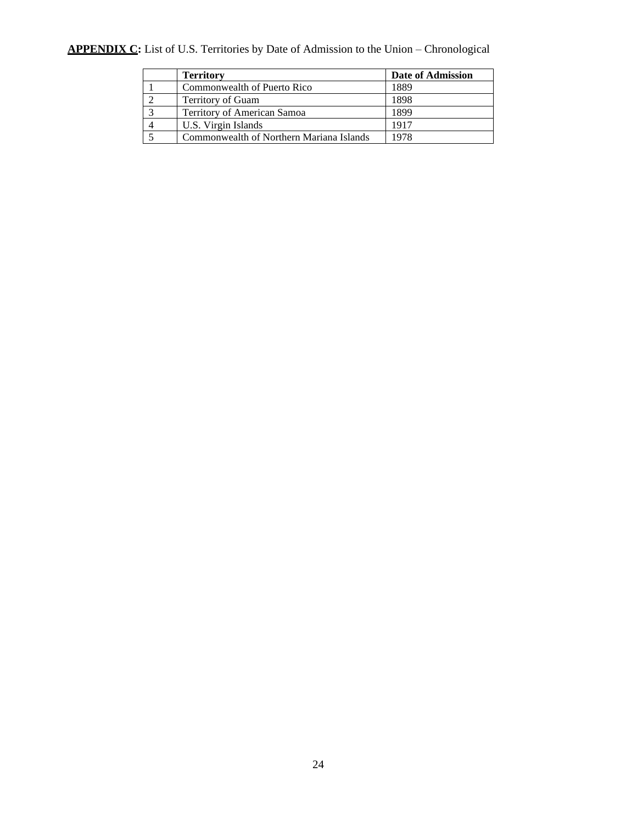# **APPENDIX C:** List of U.S. Territories by Date of Admission to the Union – Chronological

| <b>Territory</b>                         | Date of Admission |
|------------------------------------------|-------------------|
| Commonwealth of Puerto Rico              | 1889              |
| Territory of Guam                        | 1898              |
| Territory of American Samoa              | 1899              |
| U.S. Virgin Islands                      | 1917              |
| Commonwealth of Northern Mariana Islands | 1978              |